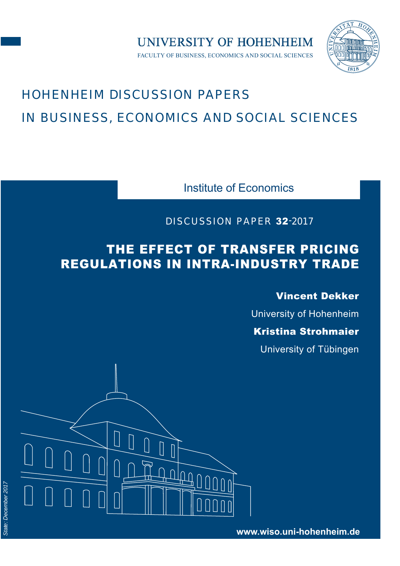

# HOHENHEIM DISCUSSION PAPERS IN BUSINESS, ECONOMICS AND SOCIAL SCIENCES

Institute of Economics

FACULTY OF BUSINESS, ECONOMICS AND SOCIAL SCIENCES

**UNIVERSITY OF HOHENHEIM** 

DISCUSSION PAPER 32-2017

## THE EFFECT OF TRANSFER PRICING REGULATIONS IN INTRA-INDUSTRY TRADE

Vincent Dekker

University of Hohenheim

Kristina Strohmaier

University of Tübingen

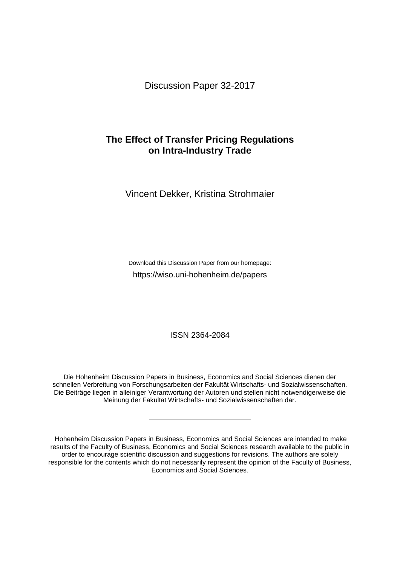Discussion Paper 32-2017

### **The Effect of Transfer Pricing Regulations on Intra-Industry Trade**

Vincent Dekker, Kristina Strohmaier

Download this Discussion Paper from our homepage: <https://wiso.uni-hohenheim.de/papers>

ISSN 2364-2084

Die Hohenheim Discussion Papers in Business, Economics and Social Sciences dienen der schnellen Verbreitung von Forschungsarbeiten der Fakultät Wirtschafts- und Sozialwissenschaften. Die Beiträge liegen in alleiniger Verantwortung der Autoren und stellen nicht notwendigerweise die Meinung der Fakultät Wirtschafts- und Sozialwissenschaften dar.

Hohenheim Discussion Papers in Business, Economics and Social Sciences are intended to make results of the Faculty of Business, Economics and Social Sciences research available to the public in order to encourage scientific discussion and suggestions for revisions. The authors are solely responsible for the contents which do not necessarily represent the opinion of the Faculty of Business, Economics and Social Sciences.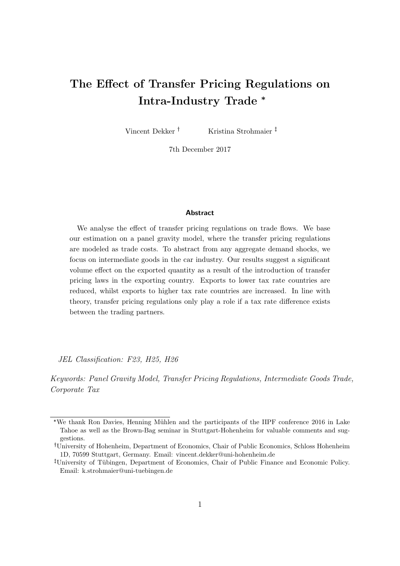## The Effect of Transfer Pricing Regulations on Intra-Industry Trade \*

Vincent Dekker<sup>†</sup> Kristina Strohmaier<sup>†</sup>

7th December 2017

#### **Abstract**

We analyse the effect of transfer pricing regulations on trade flows. We base our estimation on a panel gravity model, where the transfer pricing regulations are modeled as trade costs. To abstract from any aggregate demand shocks, we focus on intermediate goods in the car industry. Our results suggest a significant volume effect on the exported quantity as a result of the introduction of transfer pricing laws in the exporting country. Exports to lower tax rate countries are reduced, whilst exports to higher tax rate countries are increased. In line with theory, transfer pricing regulations only play a role if a tax rate difference exists between the trading partners.

JEL Classification: F23, H25, H26

Keywords: Panel Gravity Model, Transfer Pricing Regulations, Intermediate Goods Trade, Corporate Tax

<sup>\*</sup>We thank Ron Davies, Henning Mühlen and the participants of the IIPF conference 2016 in Lake Tahoe as well as the Brown-Bag seminar in Stuttgart-Hohenheim for valuable comments and suggestions.

University of Hohenheim, Department of Economics, Chair of Public Economics, Schloss Hohenheim 1D, 70599 Stuttgart, Germany. Email: vincent.dekker@uni-hohenheim.de

<sup>&</sup>lt;sup>‡</sup>University of Tübingen, Department of Economics, Chair of Public Finance and Economic Policy. Email: k.strohmaier@uni-tuebingen.de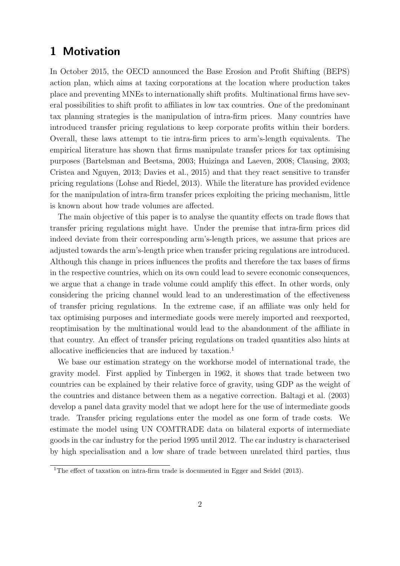## 1 Motivation

In October 2015, the OECD announced the Base Erosion and Profit Shifting (BEPS) action plan, which aims at taxing corporations at the location where production takes place and preventing MNEs to internationally shift profits. Multinational firms have several possibilities to shift profit to affiliates in low tax countries. One of the predominant tax planning strategies is the manipulation of intra-firm prices. Many countries have introduced transfer pricing regulations to keep corporate profits within their borders. Overall, these laws attempt to tie intra-firm prices to arm's-length equivalents. The empirical literature has shown that firms manipulate transfer prices for tax optimising purposes (Bartelsman and Beetsma, 2003; Huizinga and Laeven, 2008; Clausing, 2003; Cristea and Nguyen, 2013; Davies et al., 2015) and that they react sensitive to transfer pricing regulations (Lohse and Riedel, 2013). While the literature has provided evidence for the manipulation of intra-firm transfer prices exploiting the pricing mechanism, little is known about how trade volumes are affected.

The main objective of this paper is to analyse the quantity effects on trade flows that transfer pricing regulations might have. Under the premise that intra-firm prices did indeed deviate from their corresponding arm's-length prices, we assume that prices are adjusted towards the arm's-length price when transfer pricing regulations are introduced. Although this change in prices influences the profits and therefore the tax bases of firms in the respective countries, which on its own could lead to severe economic consequences, we argue that a change in trade volume could amplify this effect. In other words, only considering the pricing channel would lead to an underestimation of the effectiveness of transfer pricing regulations. In the extreme case, if an affiliate was only held for tax optimising purposes and intermediate goods were merely imported and reexported, reoptimisation by the multinational would lead to the abandonment of the affiliate in that country. An effect of transfer pricing regulations on traded quantities also hints at allocative inefficiencies that are induced by taxation.<sup>1</sup>

We base our estimation strategy on the workhorse model of international trade, the gravity model. First applied by Tinbergen in 1962, it shows that trade between two countries can be explained by their relative force of gravity, using GDP as the weight of the countries and distance between them as a negative correction. Baltagi et al. (2003) develop a panel data gravity model that we adopt here for the use of intermediate goods trade. Transfer pricing regulations enter the model as one form of trade costs. We estimate the model using UN COMTRADE data on bilateral exports of intermediate goods in the car industry for the period 1995 until 2012. The car industry is characterised by high specialisation and a low share of trade between unrelated third parties, thus

<sup>&</sup>lt;sup>1</sup>The effect of taxation on intra-firm trade is documented in Egger and Seidel (2013).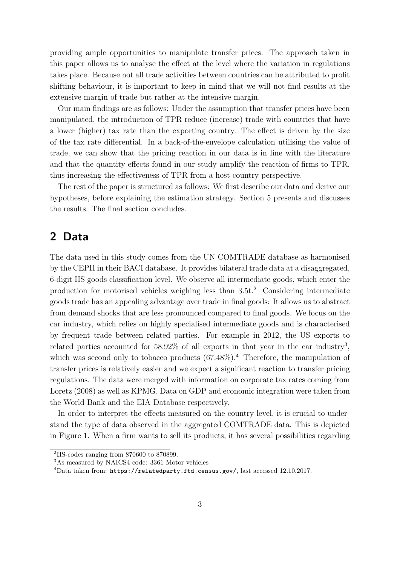providing ample opportunities to manipulate transfer prices. The approach taken in this paper allows us to analyse the effect at the level where the variation in regulations takes place. Because not all trade activities between countries can be attributed to profit shifting behaviour, it is important to keep in mind that we will not find results at the extensive margin of trade but rather at the intensive margin.

Our main findings are as follows: Under the assumption that transfer prices have been manipulated, the introduction of TPR reduce (increase) trade with countries that have a lower (higher) tax rate than the exporting country. The effect is driven by the size of the tax rate differential. In a back-of-the-envelope calculation utilising the value of trade, we can show that the pricing reaction in our data is in line with the literature and that the quantity effects found in our study amplify the reaction of firms to TPR, thus increasing the effectiveness of TPR from a host country perspective.

The rest of the paper is structured as follows: We first describe our data and derive our hypotheses, before explaining the estimation strategy. Section 5 presents and discusses the results. The final section concludes.

## 2 Data

The data used in this study comes from the UN COMTRADE database as harmonised by the CEPII in their BACI database. It provides bilateral trade data at a disaggregated, 6-digit HS goods classification level. We observe all intermediate goods, which enter the production for motorised vehicles weighing less than  $3.5t$ <sup>2</sup> Considering intermediate goods trade has an appealing advantage over trade in final goods: It allows us to abstract from demand shocks that are less pronounced compared to final goods. We focus on the car industry, which relies on highly specialised intermediate goods and is characterised by frequent trade between related parties. For example in 2012, the US exports to related parties accounted for  $58.92\%$  of all exports in that year in the car industry<sup>3</sup>, which was second only to tobacco products  $(67.48\%)$ .<sup>4</sup> Therefore, the manipulation of transfer prices is relatively easier and we expect a significant reaction to transfer pricing regulations. The data were merged with information on corporate tax rates coming from Loretz (2008) as well as KPMG. Data on GDP and economic integration were taken from the World Bank and the EIA Database respectively.

In order to interpret the effects measured on the country level, it is crucial to understand the type of data observed in the aggregated COMTRADE data. This is depicted in Figure 1. When a firm wants to sell its products, it has several possibilities regarding

<sup>2</sup>HS-codes ranging from 870600 to 870899.

<sup>3</sup>As measured by NAICS4 code: 3361 Motor vehicles

<sup>4</sup>Data taken from: https://relatedparty.ftd.census.gov/, last accessed 12.10.2017.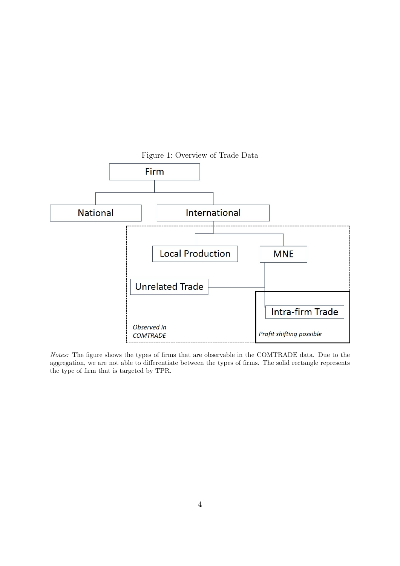

Notes: The figure shows the types of firms that are observable in the COMTRADE data. Due to the aggregation, we are not able to differentiate between the types of firms. The solid rectangle represents the type of firm that is targeted by TPR.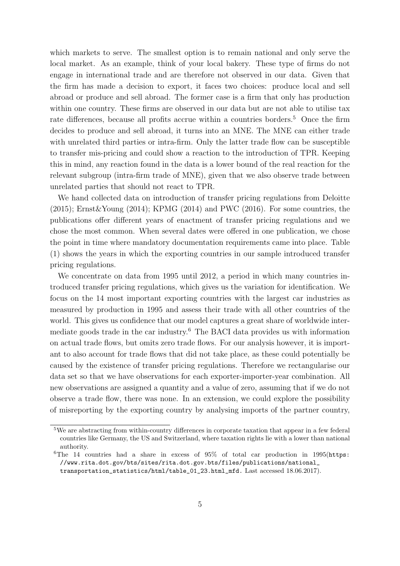which markets to serve. The smallest option is to remain national and only serve the local market. As an example, think of your local bakery. These type of firms do not engage in international trade and are therefore not observed in our data. Given that the firm has made a decision to export, it faces two choices: produce local and sell abroad or produce and sell abroad. The former case is a firm that only has production within one country. These firms are observed in our data but are not able to utilise tax rate differences, because all profits accrue within a countries borders.<sup>5</sup> Once the firm decides to produce and sell abroad, it turns into an MNE. The MNE can either trade with unrelated third parties or intra-firm. Only the latter trade flow can be susceptible to transfer mis-pricing and could show a reaction to the introduction of TPR. Keeping this in mind, any reaction found in the data is a lower bound of the real reaction for the relevant subgroup (intra-firm trade of MNE), given that we also observe trade between unrelated parties that should not react to TPR.

We hand collected data on introduction of transfer pricing regulations from Deloitte (2015); Ernst&Young (2014); KPMG (2014) and PWC (2016). For some countries, the publications offer different years of enactment of transfer pricing regulations and we chose the most common. When several dates were offered in one publication, we chose the point in time where mandatory documentation requirements came into place. Table (1) shows the years in which the exporting countries in our sample introduced transfer pricing regulations.

We concentrate on data from 1995 until 2012, a period in which many countries introduced transfer pricing regulations, which gives us the variation for identification. We focus on the 14 most important exporting countries with the largest car industries as measured by production in 1995 and assess their trade with all other countries of the world. This gives us confidence that our model captures a great share of worldwide intermediate goods trade in the car industry.<sup>6</sup> The BACI data provides us with information on actual trade flows, but omits zero trade flows. For our analysis however, it is important to also account for trade flows that did not take place, as these could potentially be caused by the existence of transfer pricing regulations. Therefore we rectangularise our data set so that we have observations for each exporter-importer-year combination. All new observations are assigned a quantity and a value of zero, assuming that if we do not observe a trade flow, there was none. In an extension, we could explore the possibility of misreporting by the exporting country by analysing imports of the partner country,

<sup>&</sup>lt;sup>5</sup>We are abstracting from within-country differences in corporate taxation that appear in a few federal countries like Germany, the US and Switzerland, where taxation rights lie with a lower than national authority.

 $6$ The 14 countries had a share in excess of  $95\%$  of total car production in 1995(https: //www.rita.dot.gov/bts/sites/rita.dot.gov.bts/files/publications/national\_ transportation\_statistics/html/table\_01\_23.html\_mfd. Last accessed 18.06.2017).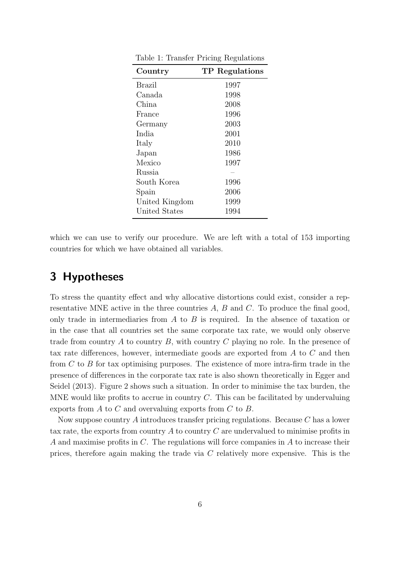| Country        | TP Regulations |
|----------------|----------------|
| Brazil         | 1997           |
| Canada         | 1998           |
| China          | 2008           |
| France         | 1996           |
| Germany        | 2003           |
| India          | 2001           |
| Italy          | 2010           |
| Japan          | 1986           |
| Mexico         | 1997           |
| Russia         |                |
| South Korea    | 1996           |
| Spain          | 2006           |
| United Kingdom | 1999           |
| United States  | 1994           |

Table 1: Transfer Pricing Regulations

which we can use to verify our procedure. We are left with a total of 153 importing countries for which we have obtained all variables.

## 3 Hypotheses

To stress the quantity effect and why allocative distortions could exist, consider a representative MNE active in the three countries A, B and C. To produce the final good, only trade in intermediaries from  $A$  to  $B$  is required. In the absence of taxation or in the case that all countries set the same corporate tax rate, we would only observe trade from country A to country B, with country C playing no role. In the presence of tax rate differences, however, intermediate goods are exported from A to C and then from C to B for tax optimising purposes. The existence of more intra-firm trade in the presence of differences in the corporate tax rate is also shown theoretically in Egger and Seidel (2013). Figure 2 shows such a situation. In order to minimise the tax burden, the MNE would like profits to accrue in country C. This can be facilitated by undervaluing exports from A to C and overvaluing exports from C to B.

Now suppose country A introduces transfer pricing regulations. Because C has a lower tax rate, the exports from country  $A$  to country  $C$  are undervalued to minimise profits in A and maximise profits in C. The regulations will force companies in A to increase their prices, therefore again making the trade via C relatively more expensive. This is the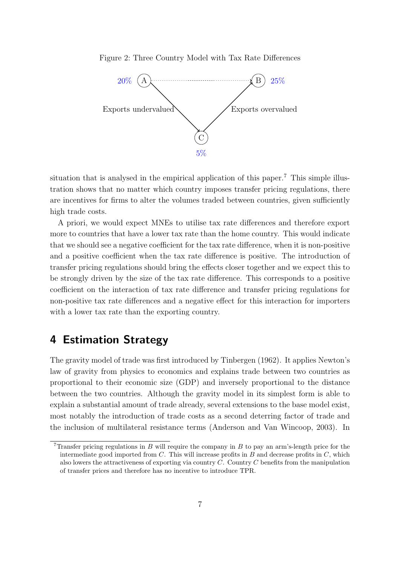Figure 2: Three Country Model with Tax Rate Differences



situation that is analysed in the empirical application of this paper.<sup>7</sup> This simple illustration shows that no matter which country imposes transfer pricing regulations, there are incentives for firms to alter the volumes traded between countries, given sufficiently high trade costs.

A priori, we would expect MNEs to utilise tax rate differences and therefore export more to countries that have a lower tax rate than the home country. This would indicate that we should see a negative coefficient for the tax rate difference, when it is non-positive and a positive coefficient when the tax rate difference is positive. The introduction of transfer pricing regulations should bring the effects closer together and we expect this to be strongly driven by the size of the tax rate difference. This corresponds to a positive coefficient on the interaction of tax rate difference and transfer pricing regulations for non-positive tax rate differences and a negative effect for this interaction for importers with a lower tax rate than the exporting country.

## 4 Estimation Strategy

The gravity model of trade was first introduced by Tinbergen (1962). It applies Newton's law of gravity from physics to economics and explains trade between two countries as proportional to their economic size (GDP) and inversely proportional to the distance between the two countries. Although the gravity model in its simplest form is able to explain a substantial amount of trade already, several extensions to the base model exist, most notably the introduction of trade costs as a second deterring factor of trade and the inclusion of multilateral resistance terms (Anderson and Van Wincoop, 2003). In

<sup>&</sup>lt;sup>7</sup>Transfer pricing regulations in B will require the company in B to pay an arm's-length price for the intermediate good imported from  $C$ . This will increase profits in  $B$  and decrease profits in  $C$ , which also lowers the attractiveness of exporting via country  $C$ . Country  $C$  benefits from the manipulation of transfer prices and therefore has no incentive to introduce TPR.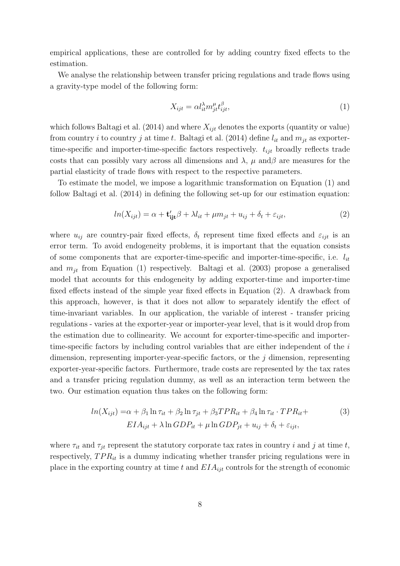empirical applications, these are controlled for by adding country fixed effects to the estimation.

We analyse the relationship between transfer pricing regulations and trade flows using a gravity-type model of the following form:

$$
X_{ijt} = \alpha l_{it}^{\lambda} m_{jt}^{\mu} t_{ijt}^{\beta},\tag{1}
$$

which follows Baltagi et al. (2014) and where  $X_{ijt}$  denotes the exports (quantity or value) from country i to country j at time t. Baltagi et al. (2014) define  $l_{it}$  and  $m_{it}$  as exportertime-specific and importer-time-specific factors respectively.  $t_{ijt}$  broadly reflects trade costs that can possibly vary across all dimensions and  $\lambda$ ,  $\mu$  and  $\beta$  are measures for the partial elasticity of trade flows with respect to the respective parameters.

To estimate the model, we impose a logarithmic transformation on Equation (1) and follow Baltagi et al. (2014) in defining the following set-up for our estimation equation:

$$
ln(X_{ijt}) = \alpha + \mathbf{t}'_{ijt}\beta + \lambda l_{it} + \mu m_{jt} + u_{ij} + \delta_t + \varepsilon_{ijt},
$$
\n(2)

where  $u_{ij}$  are country-pair fixed effects,  $\delta_t$  represent time fixed effects and  $\varepsilon_{ijt}$  is an error term. To avoid endogeneity problems, it is important that the equation consists of some components that are exporter-time-specific and importer-time-specific, i.e.  $l_{it}$ and  $m_{it}$  from Equation (1) respectively. Baltagi et al. (2003) propose a generalised model that accounts for this endogeneity by adding exporter-time and importer-time fixed effects instead of the simple year fixed effects in Equation (2). A drawback from this approach, however, is that it does not allow to separately identify the effect of time-invariant variables. In our application, the variable of interest - transfer pricing regulations - varies at the exporter-year or importer-year level, that is it would drop from the estimation due to collinearity. We account for exporter-time-specific and importertime-specific factors by including control variables that are either independent of the  $i$ dimension, representing importer-year-specific factors, or the  $j$  dimension, representing exporter-year-specific factors. Furthermore, trade costs are represented by the tax rates and a transfer pricing regulation dummy, as well as an interaction term between the two. Our estimation equation thus takes on the following form:

$$
ln(X_{ijt}) = \alpha + \beta_1 \ln \tau_{it} + \beta_2 \ln \tau_{jt} + \beta_3 TPR_{it} + \beta_4 \ln \tau_{it} \cdot TPR_{it} +
$$
  
\n
$$
EIA_{ijt} + \lambda \ln GDP_{it} + \mu \ln GDP_{jt} + u_{ij} + \delta_t + \varepsilon_{ijt},
$$
\n(3)

where  $\tau_{it}$  and  $\tau_{it}$  represent the statutory corporate tax rates in country i and j at time t, respectively,  $TPR_{it}$  is a dummy indicating whether transfer pricing regulations were in place in the exporting country at time t and  $EIA_{ijt}$  controls for the strength of economic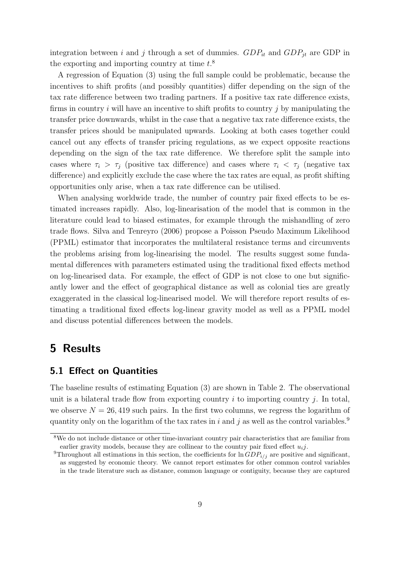integration between i and j through a set of dummies.  $GDP_{it}$  and  $GDP_{jt}$  are GDP in the exporting and importing country at time  $t.^8$ 

A regression of Equation (3) using the full sample could be problematic, because the incentives to shift profits (and possibly quantities) differ depending on the sign of the tax rate difference between two trading partners. If a positive tax rate difference exists, firms in country  $i$  will have an incentive to shift profits to country  $j$  by manipulating the transfer price downwards, whilst in the case that a negative tax rate difference exists, the transfer prices should be manipulated upwards. Looking at both cases together could cancel out any effects of transfer pricing regulations, as we expect opposite reactions depending on the sign of the tax rate difference. We therefore split the sample into cases where  $\tau_i > \tau_j$  (positive tax difference) and cases where  $\tau_i < \tau_j$  (negative tax difference) and explicitly exclude the case where the tax rates are equal, as profit shifting opportunities only arise, when a tax rate difference can be utilised.

When analysing worldwide trade, the number of country pair fixed effects to be estimated increases rapidly. Also, log-linearisation of the model that is common in the literature could lead to biased estimates, for example through the mishandling of zero trade flows. Silva and Tenreyro (2006) propose a Poisson Pseudo Maximum Likelihood (PPML) estimator that incorporates the multilateral resistance terms and circumvents the problems arising from log-linearising the model. The results suggest some fundamental differences with parameters estimated using the traditional fixed effects method on log-linearised data. For example, the effect of GDP is not close to one but significantly lower and the effect of geographical distance as well as colonial ties are greatly exaggerated in the classical log-linearised model. We will therefore report results of estimating a traditional fixed effects log-linear gravity model as well as a PPML model and discuss potential differences between the models.

### 5 Results

#### 5.1 Effect on Quantities

The baseline results of estimating Equation (3) are shown in Table 2. The observational unit is a bilateral trade flow from exporting country  $i$  to importing country  $j$ . In total, we observe  $N = 26,419$  such pairs. In the first two columns, we regress the logarithm of quantity only on the logarithm of the tax rates in i and j as well as the control variables.<sup>9</sup>

<sup>8</sup>We do not include distance or other time-invariant country pair characteristics that are familiar from earlier gravity models, because they are collinear to the country pair fixed effect  $u_i$ ;

<sup>&</sup>lt;sup>9</sup>Throughout all estimations in this section, the coefficients for  $\ln GDP_{i/j}$  are positive and significant, as suggested by economic theory. We cannot report estimates for other common control variables in the trade literature such as distance, common language or contiguity, because they are captured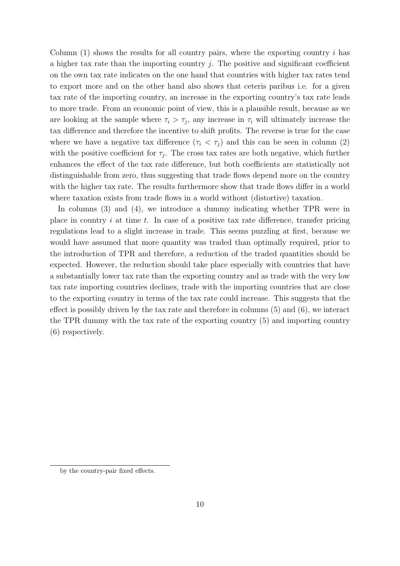Column  $(1)$  shows the results for all country pairs, where the exporting country i has a higher tax rate than the importing country  $j$ . The positive and significant coefficient on the own tax rate indicates on the one hand that countries with higher tax rates tend to export more and on the other hand also shows that ceteris paribus i.e. for a given tax rate of the importing country, an increase in the exporting country's tax rate leads to more trade. From an economic point of view, this is a plausible result, because as we are looking at the sample where  $\tau_i > \tau_j$ , any increase in  $\tau_i$  will ultimately increase the tax difference and therefore the incentive to shift profits. The reverse is true for the case where we have a negative tax difference  $(\tau_i < \tau_j)$  and this can be seen in column (2) with the positive coefficient for  $\tau_j$ . The cross tax rates are both negative, which further enhances the effect of the tax rate difference, but both coefficients are statistically not distinguishable from zero, thus suggesting that trade flows depend more on the country with the higher tax rate. The results furthermore show that trade flows differ in a world where taxation exists from trade flows in a world without (distortive) taxation.

In columns (3) and (4), we introduce a dummy indicating whether TPR were in place in country  $i$  at time  $t$ . In case of a positive tax rate difference, transfer pricing regulations lead to a slight increase in trade. This seems puzzling at first, because we would have assumed that more quantity was traded than optimally required, prior to the introduction of TPR and therefore, a reduction of the traded quantities should be expected. However, the reduction should take place especially with countries that have a substantially lower tax rate than the exporting country and as trade with the very low tax rate importing countries declines, trade with the importing countries that are close to the exporting country in terms of the tax rate could increase. This suggests that the effect is possibly driven by the tax rate and therefore in columns (5) and (6), we interact the TPR dummy with the tax rate of the exporting country (5) and importing country (6) respectively.

by the country-pair fixed effects.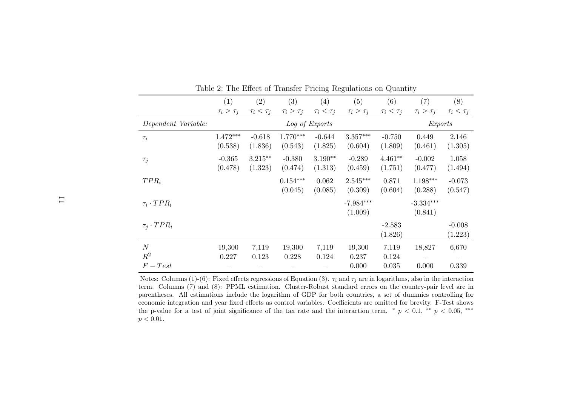|                      | (1)                   | $\left( 2\right)$     | (3)                   | (4)                  | (5)                    | (6)                  | (7)                    | (8)                 |
|----------------------|-----------------------|-----------------------|-----------------------|----------------------|------------------------|----------------------|------------------------|---------------------|
|                      | $\tau_i > \tau_j$     | $\tau_i < \tau_j$     | $\tau_i > \tau_j$     | $\tau_i < \tau_j$    | $\tau_i > \tau_j$      | $\tau_i < \tau_j$    | $\tau_i > \tau_j$      | $\tau_i < \tau_j$   |
| Dependent Variable:  |                       |                       |                       | Log of Exports       |                        |                      | <i>Exports</i>         |                     |
| $\tau_i$             | $1.472***$<br>(0.538) | $-0.618$<br>(1.836)   | $1.770***$<br>(0.543) | $-0.644$<br>(1.825)  | $3.357***$<br>(0.604)  | $-0.750$<br>(1.809)  | 0.449<br>(0.461)       | 2.146<br>(1.305)    |
| $\tau_j$             | $-0.365$<br>(0.478)   | $3.215***$<br>(1.323) | $-0.380$<br>(0.474)   | $3.190**$<br>(1.313) | $-0.289$<br>(0.459)    | $4.461**$<br>(1.751) | $-0.002$<br>(0.477)    | 1.058<br>(1.494)    |
| $TPR_i$              |                       |                       | $0.154***$<br>(0.045) | 0.062<br>(0.085)     | $2.545***$<br>(0.309)  | 0.871<br>(0.604)     | $1.198***$<br>(0.288)  | $-0.073$<br>(0.547) |
| $\tau_i \cdot TPR_i$ |                       |                       |                       |                      | $-7.984***$<br>(1.009) |                      | $-3.334***$<br>(0.841) |                     |
| $\tau_i \cdot TPR_i$ |                       |                       |                       |                      |                        | $-2.583$<br>(1.826)  |                        | $-0.008$<br>(1.223) |
| N                    | 19,300                | 7,119                 | 19,300                | 7,119                | 19,300                 | 7,119                | 18,827                 | 6,670               |
| $R^2$                | 0.227                 | 0.123                 | 0.228                 | 0.124                | 0.237                  | 0.124                |                        |                     |
| $F-Test$             |                       |                       |                       |                      | 0.000                  | 0.035                | 0.000                  | 0.339               |

Table 2: The Effect of Transfer Pricing Regulations on Quantity

Notes: Columns (1)-(6): Fixed effects regressions of Equation (3).  $\tau_i$  and  $\tau_j$  are in logarithms, also in the interaction term. Columns (7) and (8): PPML estimation. Cluster-Robust standard errors on the country-pair level are in parentheses. All estimations include the logarithm of GDP for both countries, <sup>a</sup> set of dummies controlling for economic integration and year fixed effects as control variables. Coefficients are omitted for brevity. F-Test showsthe p-value for a test of joint significance of the tax rate and the interaction term. \*  $p < 0.1$ , \*\*  $p < 0.05$ , \*\*\*  $p < 0.01$ .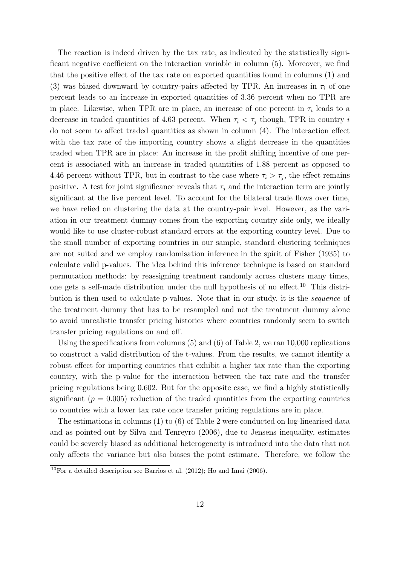The reaction is indeed driven by the tax rate, as indicated by the statistically significant negative coefficient on the interaction variable in column (5). Moreover, we find that the positive effect of the tax rate on exported quantities found in columns (1) and (3) was biased downward by country-pairs affected by TPR. An increases in  $\tau_i$  of one percent leads to an increase in exported quantities of 3.36 percent when no TPR are in place. Likewise, when TPR are in place, an increase of one percent in  $\tau_i$  leads to a decrease in traded quantities of 4.63 percent. When  $\tau_i < \tau_j$  though, TPR in country i do not seem to affect traded quantities as shown in column (4). The interaction effect with the tax rate of the importing country shows a slight decrease in the quantities traded when TPR are in place: An increase in the profit shifting incentive of one percent is associated with an increase in traded quantities of 1.88 percent as opposed to 4.46 percent without TPR, but in contrast to the case where  $\tau_i > \tau_j$ , the effect remains positive. A test for joint significance reveals that  $\tau_i$  and the interaction term are jointly significant at the five percent level. To account for the bilateral trade flows over time, we have relied on clustering the data at the country-pair level. However, as the variation in our treatment dummy comes from the exporting country side only, we ideally would like to use cluster-robust standard errors at the exporting country level. Due to the small number of exporting countries in our sample, standard clustering techniques are not suited and we employ randomisation inference in the spirit of Fisher (1935) to calculate valid p-values. The idea behind this inference technique is based on standard permutation methods: by reassigning treatment randomly across clusters many times, one gets a self-made distribution under the null hypothesis of no effect.<sup>10</sup> This distribution is then used to calculate p-values. Note that in our study, it is the sequence of the treatment dummy that has to be resampled and not the treatment dummy alone to avoid unrealistic transfer pricing histories where countries randomly seem to switch transfer pricing regulations on and off.

Using the specifications from columns (5) and (6) of Table 2, we ran 10,000 replications to construct a valid distribution of the t-values. From the results, we cannot identify a robust effect for importing countries that exhibit a higher tax rate than the exporting country, with the p-value for the interaction between the tax rate and the transfer pricing regulations being 0.602. But for the opposite case, we find a highly statistically significant  $(p = 0.005)$  reduction of the traded quantities from the exporting countries to countries with a lower tax rate once transfer pricing regulations are in place.

The estimations in columns (1) to (6) of Table 2 were conducted on log-linearised data and as pointed out by Silva and Tenreyro (2006), due to Jensens inequality, estimates could be severely biased as additional heterogeneity is introduced into the data that not only affects the variance but also biases the point estimate. Therefore, we follow the

 $10$ For a detailed description see Barrios et al. (2012); Ho and Imai (2006).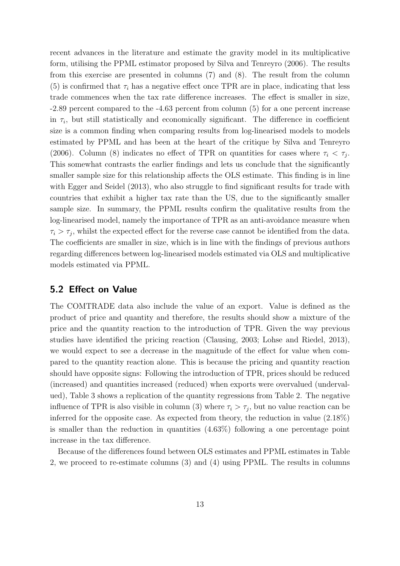recent advances in the literature and estimate the gravity model in its multiplicative form, utilising the PPML estimator proposed by Silva and Tenreyro (2006). The results from this exercise are presented in columns (7) and (8). The result from the column (5) is confirmed that  $\tau_i$  has a negative effect once TPR are in place, indicating that less trade commences when the tax rate difference increases. The effect is smaller in size, -2.89 percent compared to the -4.63 percent from column (5) for a one percent increase in  $\tau_i$ , but still statistically and economically significant. The difference in coefficient size is a common finding when comparing results from log-linearised models to models estimated by PPML and has been at the heart of the critique by Silva and Tenreyro (2006). Column (8) indicates no effect of TPR on quantities for cases where  $\tau_i < \tau_j$ . This somewhat contrasts the earlier findings and lets us conclude that the significantly smaller sample size for this relationship affects the OLS estimate. This finding is in line with Egger and Seidel (2013), who also struggle to find significant results for trade with countries that exhibit a higher tax rate than the US, due to the significantly smaller sample size. In summary, the PPML results confirm the qualitative results from the log-linearised model, namely the importance of TPR as an anti-avoidance measure when  $\tau_i > \tau_j$ , whilst the expected effect for the reverse case cannot be identified from the data. The coefficients are smaller in size, which is in line with the findings of previous authors regarding differences between log-linearised models estimated via OLS and multiplicative models estimated via PPML.

#### 5.2 Effect on Value

The COMTRADE data also include the value of an export. Value is defined as the product of price and quantity and therefore, the results should show a mixture of the price and the quantity reaction to the introduction of TPR. Given the way previous studies have identified the pricing reaction (Clausing, 2003; Lohse and Riedel, 2013), we would expect to see a decrease in the magnitude of the effect for value when compared to the quantity reaction alone. This is because the pricing and quantity reaction should have opposite signs: Following the introduction of TPR, prices should be reduced (increased) and quantities increased (reduced) when exports were overvalued (undervalued), Table 3 shows a replication of the quantity regressions from Table 2. The negative influence of TPR is also visible in column (3) where  $\tau_i > \tau_j$ , but no value reaction can be inferred for the opposite case. As expected from theory, the reduction in value  $(2.18\%)$ is smaller than the reduction in quantities  $(4.63\%)$  following a one percentage point increase in the tax difference.

Because of the differences found between OLS estimates and PPML estimates in Table 2, we proceed to re-estimate columns (3) and (4) using PPML. The results in columns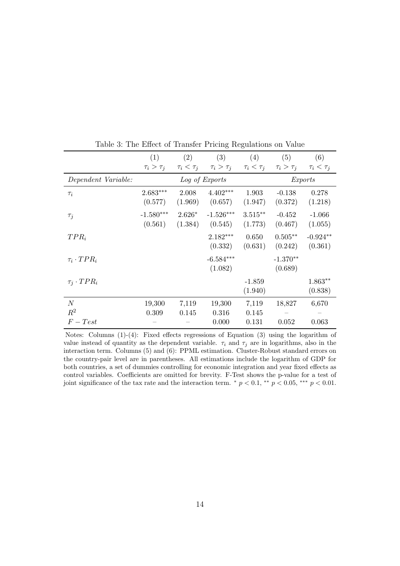|                      | (1)                    | (2)                 | (3)                    | (4)                   | (5)                   | (6)                   |
|----------------------|------------------------|---------------------|------------------------|-----------------------|-----------------------|-----------------------|
|                      | $\tau_i > \tau_j$      | $\tau_i < \tau_j$   | $\tau_i > \tau_j$      | $\tau_i < \tau_j$     | $\tau_i > \tau_j$     | $\tau_i < \tau_j$     |
| Dependent Variable:  |                        |                     | Log of Exports         |                       |                       | <i>Exports</i>        |
| $\tau_i$             | $2.683***$<br>(0.577)  | 2.008<br>(1.969)    | $4.402***$<br>(0.657)  | 1.903<br>(1.947)      | $-0.138$<br>(0.372)   | 0.278<br>(1.218)      |
| $\tau_j$             | $-1.580***$<br>(0.561) | $2.626*$<br>(1.384) | $-1.526***$<br>(0.545) | $3.515***$<br>(1.773) | $-0.452$<br>(0.467)   | $-1.066$<br>(1.055)   |
| $TPR_i$              |                        |                     | $2.182***$<br>(0.332)  | 0.650<br>(0.631)      | $0.505**$<br>(0.242)  | $-0.924**$<br>(0.361) |
| $\tau_i \cdot TPR_i$ |                        |                     | $-6.584***$<br>(1.082) |                       | $-1.370**$<br>(0.689) |                       |
| $\tau_i \cdot TPR_i$ |                        |                     |                        | $-1.859$<br>(1.940)   |                       | $1.863**$<br>(0.838)  |
| $\boldsymbol{N}$     | 19,300                 | 7,119               | 19,300                 | 7,119                 | 18,827                | 6,670                 |
| $R^2$                | 0.309                  | 0.145               | 0.316                  | 0.145                 |                       |                       |
| $F-Test$             |                        |                     | 0.000                  | 0.131                 | 0.052                 | 0.063                 |

Table 3: The Effect of Transfer Pricing Regulations on Value

Notes: Columns (1)-(4): Fixed effects regressions of Equation (3) using the logarithm of value instead of quantity as the dependent variable.  $\tau_i$  and  $\tau_j$  are in logarithms, also in the interaction term. Columns (5) and (6): PPML estimation. Cluster-Robust standard errors on the country-pair level are in parentheses. All estimations include the logarithm of GDP for both countries, a set of dummies controlling for economic integration and year fixed effects as control variables. Coefficients are omitted for brevity. F-Test shows the p-value for a test of joint significance of the tax rate and the interaction term.  $\alpha p < 0.1$ ,  $\alpha p < 0.05$ ,  $\alpha p < 0.01$ .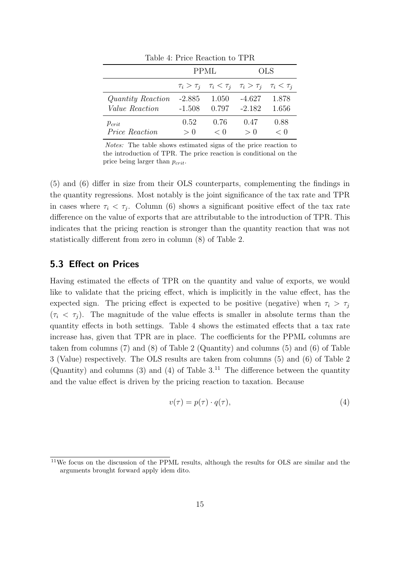|                       | PPML     |                                                                         | OLS      |          |
|-----------------------|----------|-------------------------------------------------------------------------|----------|----------|
|                       |          | $\tau_i > \tau_j$ $\tau_i < \tau_j$ $\tau_i > \tau_j$ $\tau_i < \tau_j$ |          |          |
| Quantity Reaction     | $-2.885$ | 1.050                                                                   | $-4.627$ | 1.878    |
| <i>Value Reaction</i> | $-1.508$ | 0.797                                                                   | $-2.182$ | -1.656   |
| $p_{crit}$            | 0.52     | 0.76                                                                    | 0.47     | 0.88     |
| <i>Price Reaction</i> | $\gt$ () | $\langle \ \}$                                                          | > 0      | $\leq 0$ |

Table 4: Price Reaction to TPR

Notes: The table shows estimated signs of the price reaction to the introduction of TPR. The price reaction is conditional on the price being larger than  $p_{crit}$ .

(5) and (6) differ in size from their OLS counterparts, complementing the findings in the quantity regressions. Most notably is the joint significance of the tax rate and TPR in cases where  $\tau_i < \tau_j$ . Column (6) shows a significant positive effect of the tax rate difference on the value of exports that are attributable to the introduction of TPR. This indicates that the pricing reaction is stronger than the quantity reaction that was not statistically different from zero in column (8) of Table 2.

#### 5.3 Effect on Prices

Having estimated the effects of TPR on the quantity and value of exports, we would like to validate that the pricing effect, which is implicitly in the value effect, has the expected sign. The pricing effect is expected to be positive (negative) when  $\tau_i > \tau_j$  $(\tau_i < \tau_j)$ . The magnitude of the value effects is smaller in absolute terms than the quantity effects in both settings. Table 4 shows the estimated effects that a tax rate increase has, given that TPR are in place. The coefficients for the PPML columns are taken from columns (7) and (8) of Table 2 (Quantity) and columns (5) and (6) of Table 3 (Value) respectively. The OLS results are taken from columns (5) and (6) of Table 2 (Quantity) and columns (3) and (4) of Table  $3^{11}$ . The difference between the quantity and the value effect is driven by the pricing reaction to taxation. Because

$$
v(\tau) = p(\tau) \cdot q(\tau),\tag{4}
$$

<sup>&</sup>lt;sup>11</sup>We focus on the discussion of the PPML results, although the results for OLS are similar and the arguments brought forward apply idem dito.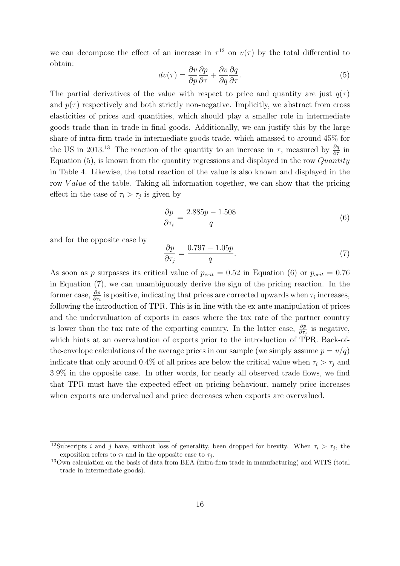we can decompose the effect of an increase in  $\tau^{12}$  on  $v(\tau)$  by the total differential to obtain:

$$
dv(\tau) = \frac{\partial v}{\partial p} \frac{\partial p}{\partial \tau} + \frac{\partial v}{\partial q} \frac{\partial q}{\partial \tau}.
$$
 (5)

The partial derivatives of the value with respect to price and quantity are just  $q(\tau)$ and  $p(\tau)$  respectively and both strictly non-negative. Implicitly, we abstract from cross elasticities of prices and quantities, which should play a smaller role in intermediate goods trade than in trade in final goods. Additionally, we can justify this by the large share of intra-firm trade in intermediate goods trade, which amassed to around 45% for the US in 2013.<sup>13</sup> The reaction of the quantity to an increase in  $\tau$ , measured by  $\frac{\partial q}{\partial \tau}$  in Equation  $(5)$ , is known from the quantity regressions and displayed in the row Quantity in Table 4. Likewise, the total reaction of the value is also known and displayed in the row Value of the table. Taking all information together, we can show that the pricing effect in the case of  $\tau_i > \tau_j$  is given by

$$
\frac{\partial p}{\partial \tau_i} = \frac{2.885p - 1.508}{q} \tag{6}
$$

and for the opposite case by

$$
\frac{\partial p}{\partial \tau_j} = \frac{0.797 - 1.05p}{q}.\tag{7}
$$

As soon as p surpasses its critical value of  $p_{crit} = 0.52$  in Equation (6) or  $p_{crit} = 0.76$ in Equation (7), we can unambiguously derive the sign of the pricing reaction. In the former case,  $\frac{\partial p}{\partial \tau_i}$  is positive, indicating that prices are corrected upwards when  $\tau_i$  increases, following the introduction of TPR. This is in line with the ex ante manipulation of prices and the undervaluation of exports in cases where the tax rate of the partner country is lower than the tax rate of the exporting country. In the latter case,  $\frac{\partial p}{\partial \tau_j}$  is negative, which hints at an overvaluation of exports prior to the introduction of TPR. Back-ofthe-envelope calculations of the average prices in our sample (we simply assume  $p = v/q$ ) indicate that only around 0.4% of all prices are below the critical value when  $\tau_i > \tau_j$  and 3.9% in the opposite case. In other words, for nearly all observed trade flows, we find that TPR must have the expected effect on pricing behaviour, namely price increases when exports are undervalued and price decreases when exports are overvalued.

<sup>&</sup>lt;sup>12</sup>Subscripts *i* and *j* have, without loss of generality, been dropped for brevity. When  $\tau_i > \tau_j$ , the exposition refers to  $\tau_i$  and in the opposite case to  $\tau_i$ .

<sup>13</sup>Own calculation on the basis of data from BEA (intra-firm trade in manufacturing) and WITS (total trade in intermediate goods).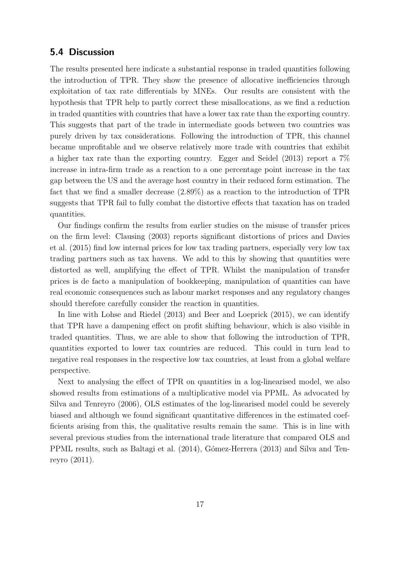#### 5.4 Discussion

The results presented here indicate a substantial response in traded quantities following the introduction of TPR. They show the presence of allocative inefficiencies through exploitation of tax rate differentials by MNEs. Our results are consistent with the hypothesis that TPR help to partly correct these misallocations, as we find a reduction in traded quantities with countries that have a lower tax rate than the exporting country. This suggests that part of the trade in intermediate goods between two countries was purely driven by tax considerations. Following the introduction of TPR, this channel became unprofitable and we observe relatively more trade with countries that exhibit a higher tax rate than the exporting country. Egger and Seidel (2013) report a 7% increase in intra-firm trade as a reaction to a one percentage point increase in the tax gap between the US and the average host country in their reduced form estimation. The fact that we find a smaller decrease (2.89%) as a reaction to the introduction of TPR suggests that TPR fail to fully combat the distortive effects that taxation has on traded quantities.

Our findings confirm the results from earlier studies on the misuse of transfer prices on the firm level: Clausing (2003) reports significant distortions of prices and Davies et al. (2015) find low internal prices for low tax trading partners, especially very low tax trading partners such as tax havens. We add to this by showing that quantities were distorted as well, amplifying the effect of TPR. Whilst the manipulation of transfer prices is de facto a manipulation of bookkeeping, manipulation of quantities can have real economic consequences such as labour market responses and any regulatory changes should therefore carefully consider the reaction in quantities.

In line with Lohse and Riedel (2013) and Beer and Loeprick (2015), we can identify that TPR have a dampening effect on profit shifting behaviour, which is also visible in traded quantities. Thus, we are able to show that following the introduction of TPR, quantities exported to lower tax countries are reduced. This could in turn lead to negative real responses in the respective low tax countries, at least from a global welfare perspective.

Next to analysing the effect of TPR on quantities in a log-linearised model, we also showed results from estimations of a multiplicative model via PPML. As advocated by Silva and Tenreyro (2006), OLS estimates of the log-linearised model could be severely biased and although we found significant quantitative differences in the estimated coefficients arising from this, the qualitative results remain the same. This is in line with several previous studies from the international trade literature that compared OLS and PPML results, such as Baltagi et al. (2014), Gómez-Herrera (2013) and Silva and Tenreyro (2011).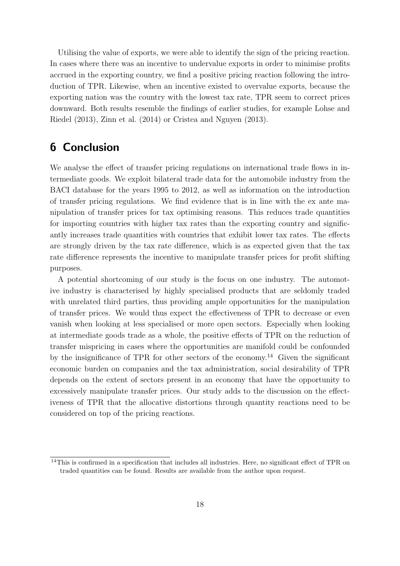Utilising the value of exports, we were able to identify the sign of the pricing reaction. In cases where there was an incentive to undervalue exports in order to minimise profits accrued in the exporting country, we find a positive pricing reaction following the introduction of TPR. Likewise, when an incentive existed to overvalue exports, because the exporting nation was the country with the lowest tax rate, TPR seem to correct prices downward. Both results resemble the findings of earlier studies, for example Lohse and Riedel (2013), Zinn et al. (2014) or Cristea and Nguyen (2013).

## 6 Conclusion

We analyse the effect of transfer pricing regulations on international trade flows in intermediate goods. We exploit bilateral trade data for the automobile industry from the BACI database for the years 1995 to 2012, as well as information on the introduction of transfer pricing regulations. We find evidence that is in line with the ex ante manipulation of transfer prices for tax optimising reasons. This reduces trade quantities for importing countries with higher tax rates than the exporting country and significantly increases trade quantities with countries that exhibit lower tax rates. The effects are strongly driven by the tax rate difference, which is as expected given that the tax rate difference represents the incentive to manipulate transfer prices for profit shifting purposes.

A potential shortcoming of our study is the focus on one industry. The automotive industry is characterised by highly specialised products that are seldomly traded with unrelated third parties, thus providing ample opportunities for the manipulation of transfer prices. We would thus expect the effectiveness of TPR to decrease or even vanish when looking at less specialised or more open sectors. Especially when looking at intermediate goods trade as a whole, the positive effects of TPR on the reduction of transfer mispricing in cases where the opportunities are manifold could be confounded by the insignificance of TPR for other sectors of the economy.<sup>14</sup> Given the significant economic burden on companies and the tax administration, social desirability of TPR depends on the extent of sectors present in an economy that have the opportunity to excessively manipulate transfer prices. Our study adds to the discussion on the effectiveness of TPR that the allocative distortions through quantity reactions need to be considered on top of the pricing reactions.

<sup>&</sup>lt;sup>14</sup>This is confirmed in a specification that includes all industries. Here, no significant effect of TPR on traded quantities can be found. Results are available from the author upon request.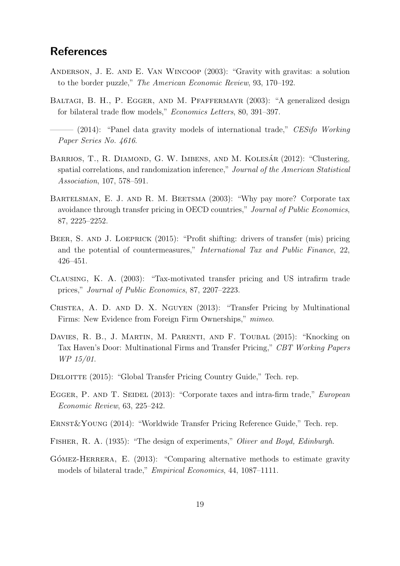## **References**

- Anderson, J. E. and E. Van Wincoop (2003): "Gravity with gravitas: a solution to the border puzzle," The American Economic Review, 93, 170–192.
- BALTAGI, B. H., P. EGGER, AND M. PFAFFERMAYR (2003): "A generalized design for bilateral trade flow models," Economics Letters, 80, 391–397.

 $-$  (2014): "Panel data gravity models of international trade," CESifo Working Paper Series No. 4616.

- BARRIOS, T., R. DIAMOND, G. W. IMBENS, AND M. KOLESÁR (2012): "Clustering, spatial correlations, and randomization inference," Journal of the American Statistical Association, 107, 578–591.
- BARTELSMAN, E. J. AND R. M. BEETSMA (2003): "Why pay more? Corporate tax avoidance through transfer pricing in OECD countries," Journal of Public Economics, 87, 2225–2252.
- BEER, S. AND J. LOEPRICK (2015): "Profit shifting: drivers of transfer (mis) pricing and the potential of countermeasures," International Tax and Public Finance, 22, 426–451.
- Clausing, K. A. (2003): "Tax-motivated transfer pricing and US intrafirm trade prices," Journal of Public Economics, 87, 2207–2223.
- Cristea, A. D. and D. X. Nguyen (2013): "Transfer Pricing by Multinational Firms: New Evidence from Foreign Firm Ownerships," mimeo.
- DAVIES, R. B., J. MARTIN, M. PARENTI, AND F. TOUBAL (2015): "Knocking on Tax Haven's Door: Multinational Firms and Transfer Pricing," CBT Working Papers WP 15/01.
- DELOITTE (2015): "Global Transfer Pricing Country Guide," Tech. rep.
- EGGER, P. AND T. SEIDEL (2013): "Corporate taxes and intra-firm trade," European Economic Review, 63, 225–242.
- Ernst&Young (2014): "Worldwide Transfer Pricing Reference Guide," Tech. rep.
- Fisher, R. A. (1935): "The design of experiments," Oliver and Boyd, Edinburgh.
- $G$ <sup> $\acute{o}$ MEZ-HERRERA, E. (2013): "Comparing alternative methods to estimate gravity</sup> models of bilateral trade," Empirical Economics, 44, 1087–1111.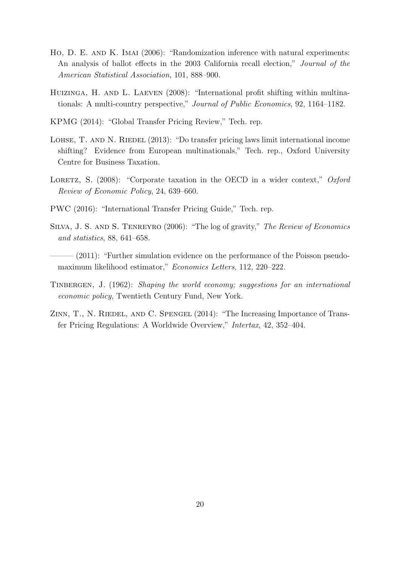- Ho, D. E. AND K. IMAI (2006): "Randomization inference with natural experiments: An analysis of ballot effects in the 2003 California recall election," Journal of the American Statistical Association, 101, 888–900.
- HUIZINGA, H. AND L. LAEVEN (2008): "International profit shifting within multinationals: A multi-country perspective," Journal of Public Economics, 92, 1164–1182.
- KPMG (2014): "Global Transfer Pricing Review," Tech. rep.
- LOHSE, T. AND N. RIEDEL (2013): "Do transfer pricing laws limit international income shifting? Evidence from European multinationals," Tech. rep., Oxford University Centre for Business Taxation.
- LORETZ, S.  $(2008)$ : "Corporate taxation in the OECD in a wider context," Oxford Review of Economic Policy, 24, 639–660.
- PWC (2016): "International Transfer Pricing Guide," Tech. rep.
- Silva, J. S. and S. Tenreyro (2006): "The log of gravity," The Review of Economics and statistics, 88, 641–658.
- (2011): "Further simulation evidence on the performance of the Poisson pseudomaximum likelihood estimator," Economics Letters, 112, 220–222.
- TINBERGEN, J. (1962): Shaping the world economy; suggestions for an international economic policy, Twentieth Century Fund, New York.
- ZINN, T., N. RIEDEL, AND C. SPENGEL (2014): "The Increasing Importance of Transfer Pricing Regulations: A Worldwide Overview," Intertax, 42, 352–404.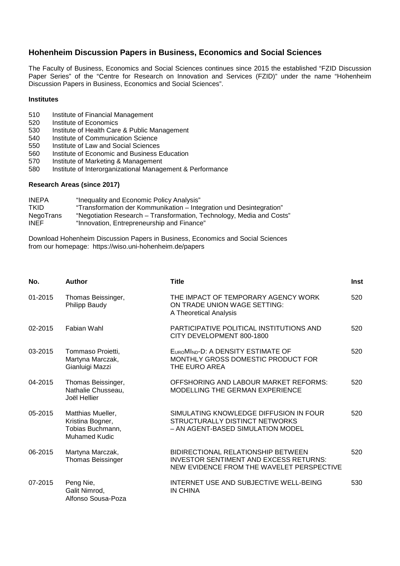#### **Hohenheim Discussion Papers in Business, Economics and Social Sciences**

The Faculty of Business, Economics and Social Sciences continues since 2015 the established "FZID Discussion Paper Series" of the "Centre for Research on Innovation and Services (FZID)" under the name "Hohenheim Discussion Papers in Business, Economics and Social Sciences".

#### **Institutes**

- 510 Institute of Financial Management<br>520 Institute of Economics
- 520 Institute of Economics<br>530 Institute of Health Care
- 530 Institute of Health Care & Public Management<br>540 Institute of Communication Science
- 540 Institute of Communication Science<br>550 Institute of Law and Social Sciences
- 550 Institute of Law and Social Sciences<br>560 Institute of Economic and Business E
- 560 Institute of Economic and Business Education<br>570 Institute of Marketing & Management
- 570 Institute of Marketing & Management<br>580 Institute of Interorganizational Manage
- Institute of Interorganizational Management & Performance

#### **Research Areas (since 2017)**

| <b>INEPA</b>     | "Inequality and Economic Policy Analysis"                            |
|------------------|----------------------------------------------------------------------|
| TKID             | "Transformation der Kommunikation - Integration und Desintegration"  |
| <b>NegoTrans</b> | "Negotiation Research – Transformation, Technology, Media and Costs" |
| <b>INEF</b>      | "Innovation, Entrepreneurship and Finance"                           |

Download Hohenheim Discussion Papers in Business, Economics and Social Sciences from our homepage: https://wiso.uni-hohenheim.de/papers

| No.     | <b>Author</b>                                                                     | <b>Title</b>                                                                                                                     | <b>Inst</b> |
|---------|-----------------------------------------------------------------------------------|----------------------------------------------------------------------------------------------------------------------------------|-------------|
| 01-2015 | Thomas Beissinger,<br>Philipp Baudy                                               | THE IMPACT OF TEMPORARY AGENCY WORK<br>ON TRADE UNION WAGE SETTING:<br>A Theoretical Analysis                                    | 520         |
| 02-2015 | Fabian Wahl                                                                       | PARTICIPATIVE POLITICAL INSTITUTIONS AND<br>CITY DEVELOPMENT 800-1800                                                            | 520         |
| 03-2015 | Tommaso Proietti,<br>Martyna Marczak,<br>Gianluigi Mazzi                          | EUROMIND-D: A DENSITY ESTIMATE OF<br>MONTHLY GROSS DOMESTIC PRODUCT FOR<br>THE EURO AREA                                         | 520         |
| 04-2015 | Thomas Beissinger,<br>Nathalie Chusseau,<br>Joël Hellier                          | OFFSHORING AND LABOUR MARKET REFORMS:<br>MODELLING THE GERMAN EXPERIENCE                                                         | 520         |
| 05-2015 | Matthias Mueller,<br>Kristina Bogner,<br>Tobias Buchmann,<br><b>Muhamed Kudic</b> | SIMULATING KNOWLEDGE DIFFUSION IN FOUR<br>STRUCTURALLY DISTINCT NETWORKS<br>- AN AGENT-BASED SIMULATION MODEL                    | 520         |
| 06-2015 | Martyna Marczak,<br><b>Thomas Beissinger</b>                                      | BIDIRECTIONAL RELATIONSHIP BETWEEN<br><b>INVESTOR SENTIMENT AND EXCESS RETURNS:</b><br>NEW EVIDENCE FROM THE WAVELET PERSPECTIVE | 520         |
| 07-2015 | Peng Nie,<br>Galit Nimrod,<br>Alfonso Sousa-Poza                                  | INTERNET USE AND SUBJECTIVE WELL-BEING<br><b>IN CHINA</b>                                                                        | 530         |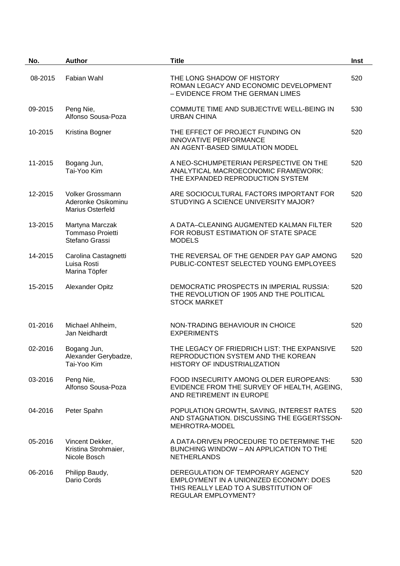| No.     | <b>Author</b>                                                     | <b>Title</b>                                                                                                                                | Inst |
|---------|-------------------------------------------------------------------|---------------------------------------------------------------------------------------------------------------------------------------------|------|
| 08-2015 | Fabian Wahl                                                       | THE LONG SHADOW OF HISTORY<br>ROMAN LEGACY AND ECONOMIC DEVELOPMENT<br>- EVIDENCE FROM THE GERMAN LIMES                                     | 520  |
| 09-2015 | Peng Nie,<br>Alfonso Sousa-Poza                                   | COMMUTE TIME AND SUBJECTIVE WELL-BEING IN<br><b>URBAN CHINA</b>                                                                             | 530  |
| 10-2015 | Kristina Bogner                                                   | THE EFFECT OF PROJECT FUNDING ON<br><b>INNOVATIVE PERFORMANCE</b><br>AN AGENT-BASED SIMULATION MODEL                                        | 520  |
| 11-2015 | Bogang Jun,<br>Tai-Yoo Kim                                        | A NEO-SCHUMPETERIAN PERSPECTIVE ON THE<br>ANALYTICAL MACROECONOMIC FRAMEWORK:<br>THE EXPANDED REPRODUCTION SYSTEM                           | 520  |
| 12-2015 | Volker Grossmann<br>Aderonke Osikominu<br><b>Marius Osterfeld</b> | ARE SOCIOCULTURAL FACTORS IMPORTANT FOR<br>STUDYING A SCIENCE UNIVERSITY MAJOR?                                                             | 520  |
| 13-2015 | Martyna Marczak<br>Tommaso Proietti<br>Stefano Grassi             | A DATA-CLEANING AUGMENTED KALMAN FILTER<br>FOR ROBUST ESTIMATION OF STATE SPACE<br><b>MODELS</b>                                            | 520  |
| 14-2015 | Carolina Castagnetti<br>Luisa Rosti<br>Marina Töpfer              | THE REVERSAL OF THE GENDER PAY GAP AMONG<br>PUBLIC-CONTEST SELECTED YOUNG EMPLOYEES                                                         | 520  |
| 15-2015 | <b>Alexander Opitz</b>                                            | DEMOCRATIC PROSPECTS IN IMPERIAL RUSSIA:<br>THE REVOLUTION OF 1905 AND THE POLITICAL<br><b>STOCK MARKET</b>                                 | 520  |
| 01-2016 | Michael Ahlheim,<br>Jan Neidhardt                                 | NON-TRADING BEHAVIOUR IN CHOICE<br><b>EXPERIMENTS</b>                                                                                       | 520  |
| 02-2016 | Bogang Jun,<br>Alexander Gerybadze,<br>Tai-Yoo Kim                | THE LEGACY OF FRIEDRICH LIST: THE EXPANSIVE<br>REPRODUCTION SYSTEM AND THE KOREAN<br>HISTORY OF INDUSTRIALIZATION                           | 520  |
| 03-2016 | Peng Nie,<br>Alfonso Sousa-Poza                                   | FOOD INSECURITY AMONG OLDER EUROPEANS:<br>EVIDENCE FROM THE SURVEY OF HEALTH, AGEING,<br>AND RETIREMENT IN EUROPE                           | 530  |
| 04-2016 | Peter Spahn                                                       | POPULATION GROWTH, SAVING, INTEREST RATES<br>AND STAGNATION. DISCUSSING THE EGGERTSSON-<br>MEHROTRA-MODEL                                   | 520  |
| 05-2016 | Vincent Dekker,<br>Kristina Strohmaier,<br>Nicole Bosch           | A DATA-DRIVEN PROCEDURE TO DETERMINE THE<br>BUNCHING WINDOW - AN APPLICATION TO THE<br><b>NETHERLANDS</b>                                   | 520  |
| 06-2016 | Philipp Baudy,<br>Dario Cords                                     | DEREGULATION OF TEMPORARY AGENCY<br>EMPLOYMENT IN A UNIONIZED ECONOMY: DOES<br>THIS REALLY LEAD TO A SUBSTITUTION OF<br>REGULAR EMPLOYMENT? | 520  |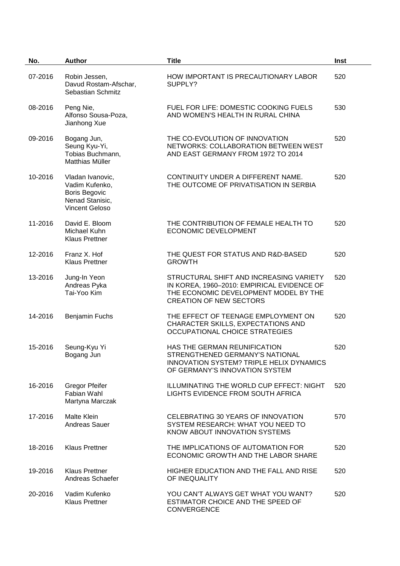| No.     | <b>Author</b>                                                                                          | <b>Title</b>                                                                                                                                                     | Inst |
|---------|--------------------------------------------------------------------------------------------------------|------------------------------------------------------------------------------------------------------------------------------------------------------------------|------|
| 07-2016 | Robin Jessen,<br>Davud Rostam-Afschar,<br>Sebastian Schmitz                                            | HOW IMPORTANT IS PRECAUTIONARY LABOR<br>SUPPLY?                                                                                                                  | 520  |
| 08-2016 | Peng Nie,<br>Alfonso Sousa-Poza,<br>Jianhong Xue                                                       | FUEL FOR LIFE: DOMESTIC COOKING FUELS<br>AND WOMEN'S HEALTH IN RURAL CHINA                                                                                       | 530  |
| 09-2016 | Bogang Jun,<br>Seung Kyu-Yi,<br>Tobias Buchmann,<br>Matthias Müller                                    | THE CO-EVOLUTION OF INNOVATION<br>NETWORKS: COLLABORATION BETWEEN WEST<br>AND EAST GERMANY FROM 1972 TO 2014                                                     | 520  |
| 10-2016 | Vladan Ivanovic,<br>Vadim Kufenko,<br><b>Boris Begovic</b><br>Nenad Stanisic,<br><b>Vincent Geloso</b> | CONTINUITY UNDER A DIFFERENT NAME.<br>THE OUTCOME OF PRIVATISATION IN SERBIA                                                                                     | 520  |
| 11-2016 | David E. Bloom<br>Michael Kuhn<br><b>Klaus Prettner</b>                                                | THE CONTRIBUTION OF FEMALE HEALTH TO<br>ECONOMIC DEVELOPMENT                                                                                                     | 520  |
| 12-2016 | Franz X. Hof<br><b>Klaus Prettner</b>                                                                  | THE QUEST FOR STATUS AND R&D-BASED<br><b>GROWTH</b>                                                                                                              | 520  |
| 13-2016 | Jung-In Yeon<br>Andreas Pyka<br>Tai-Yoo Kim                                                            | STRUCTURAL SHIFT AND INCREASING VARIETY<br>IN KOREA, 1960-2010: EMPIRICAL EVIDENCE OF<br>THE ECONOMIC DEVELOPMENT MODEL BY THE<br><b>CREATION OF NEW SECTORS</b> | 520  |
| 14-2016 | <b>Benjamin Fuchs</b>                                                                                  | THE EFFECT OF TEENAGE EMPLOYMENT ON<br>CHARACTER SKILLS, EXPECTATIONS AND<br><b>OCCUPATIONAL CHOICE STRATEGIES</b>                                               | 520  |
| 15-2016 | Seung-Kyu Yi<br>Bogang Jun                                                                             | HAS THE GERMAN REUNIFICATION<br>STRENGTHENED GERMANY'S NATIONAL<br><b>INNOVATION SYSTEM? TRIPLE HELIX DYNAMICS</b><br>OF GERMANY'S INNOVATION SYSTEM             | 520  |
| 16-2016 | <b>Gregor Pfeifer</b><br><b>Fabian Wahl</b><br>Martyna Marczak                                         | ILLUMINATING THE WORLD CUP EFFECT: NIGHT<br>LIGHTS EVIDENCE FROM SOUTH AFRICA                                                                                    | 520  |
| 17-2016 | <b>Malte Klein</b><br>Andreas Sauer                                                                    | CELEBRATING 30 YEARS OF INNOVATION<br>SYSTEM RESEARCH: WHAT YOU NEED TO<br>KNOW ABOUT INNOVATION SYSTEMS                                                         | 570  |
| 18-2016 | <b>Klaus Prettner</b>                                                                                  | THE IMPLICATIONS OF AUTOMATION FOR<br>ECONOMIC GROWTH AND THE LABOR SHARE                                                                                        | 520  |
| 19-2016 | <b>Klaus Prettner</b><br>Andreas Schaefer                                                              | HIGHER EDUCATION AND THE FALL AND RISE<br>OF INEQUALITY                                                                                                          | 520  |
| 20-2016 | Vadim Kufenko<br><b>Klaus Prettner</b>                                                                 | YOU CAN'T ALWAYS GET WHAT YOU WANT?<br>ESTIMATOR CHOICE AND THE SPEED OF<br><b>CONVERGENCE</b>                                                                   | 520  |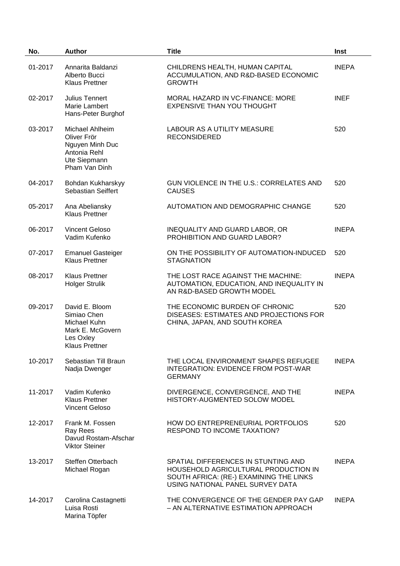| No.     | <b>Author</b>                                                                                           | <b>Title</b>                                                                                                                                               | Inst         |
|---------|---------------------------------------------------------------------------------------------------------|------------------------------------------------------------------------------------------------------------------------------------------------------------|--------------|
| 01-2017 | Annarita Baldanzi<br>Alberto Bucci<br><b>Klaus Prettner</b>                                             | CHILDRENS HEALTH, HUMAN CAPITAL<br>ACCUMULATION, AND R&D-BASED ECONOMIC<br><b>GROWTH</b>                                                                   | <b>INEPA</b> |
| 02-2017 | Julius Tennert<br>Marie Lambert<br>Hans-Peter Burghof                                                   | MORAL HAZARD IN VC-FINANCE: MORE<br><b>EXPENSIVE THAN YOU THOUGHT</b>                                                                                      | <b>INEF</b>  |
| 03-2017 | Michael Ahlheim<br>Oliver Frör<br>Nguyen Minh Duc<br>Antonia Rehl<br>Ute Siepmann<br>Pham Van Dinh      | LABOUR AS A UTILITY MEASURE<br><b>RECONSIDERED</b>                                                                                                         | 520          |
| 04-2017 | Bohdan Kukharskyy<br><b>Sebastian Seiffert</b>                                                          | <b>GUN VIOLENCE IN THE U.S.: CORRELATES AND</b><br><b>CAUSES</b>                                                                                           | 520          |
| 05-2017 | Ana Abeliansky<br><b>Klaus Prettner</b>                                                                 | AUTOMATION AND DEMOGRAPHIC CHANGE                                                                                                                          | 520          |
| 06-2017 | <b>Vincent Geloso</b><br>Vadim Kufenko                                                                  | INEQUALITY AND GUARD LABOR, OR<br>PROHIBITION AND GUARD LABOR?                                                                                             | <b>INEPA</b> |
| 07-2017 | <b>Emanuel Gasteiger</b><br><b>Klaus Prettner</b>                                                       | ON THE POSSIBILITY OF AUTOMATION-INDUCED<br><b>STAGNATION</b>                                                                                              | 520          |
| 08-2017 | <b>Klaus Prettner</b><br><b>Holger Strulik</b>                                                          | THE LOST RACE AGAINST THE MACHINE:<br>AUTOMATION, EDUCATION, AND INEQUALITY IN<br>AN R&D-BASED GROWTH MODEL                                                | <b>INEPA</b> |
| 09-2017 | David E. Bloom<br>Simiao Chen<br>Michael Kuhn<br>Mark E. McGovern<br>Les Oxley<br><b>Klaus Prettner</b> | THE ECONOMIC BURDEN OF CHRONIC<br>DISEASES: ESTIMATES AND PROJECTIONS FOR<br>CHINA, JAPAN, AND SOUTH KOREA                                                 | 520          |
| 10-2017 | Sebastian Till Braun<br>Nadja Dwenger                                                                   | THE LOCAL ENVIRONMENT SHAPES REFUGEE<br><b>INTEGRATION: EVIDENCE FROM POST-WAR</b><br><b>GERMANY</b>                                                       | <b>INEPA</b> |
| 11-2017 | Vadim Kufenko<br><b>Klaus Prettner</b><br><b>Vincent Geloso</b>                                         | DIVERGENCE, CONVERGENCE, AND THE<br><b>HISTORY-AUGMENTED SOLOW MODEL</b>                                                                                   | <b>INEPA</b> |
| 12-2017 | Frank M. Fossen<br>Ray Rees<br>Davud Rostam-Afschar<br><b>Viktor Steiner</b>                            | HOW DO ENTREPRENEURIAL PORTFOLIOS<br>RESPOND TO INCOME TAXATION?                                                                                           | 520          |
| 13-2017 | Steffen Otterbach<br>Michael Rogan                                                                      | SPATIAL DIFFERENCES IN STUNTING AND<br>HOUSEHOLD AGRICULTURAL PRODUCTION IN<br>SOUTH AFRICA: (RE-) EXAMINING THE LINKS<br>USING NATIONAL PANEL SURVEY DATA | <b>INEPA</b> |
| 14-2017 | Carolina Castagnetti<br>Luisa Rosti<br>Marina Töpfer                                                    | THE CONVERGENCE OF THE GENDER PAY GAP<br>- AN ALTERNATIVE ESTIMATION APPROACH                                                                              | <b>INEPA</b> |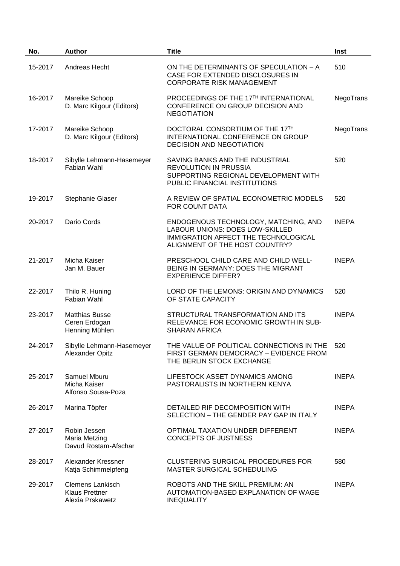| No.     | <b>Author</b>                                                        | <b>Title</b>                                                                                                                                      | Inst         |
|---------|----------------------------------------------------------------------|---------------------------------------------------------------------------------------------------------------------------------------------------|--------------|
| 15-2017 | Andreas Hecht                                                        | ON THE DETERMINANTS OF SPECULATION - A<br>CASE FOR EXTENDED DISCLOSURES IN<br><b>CORPORATE RISK MANAGEMENT</b>                                    | 510          |
| 16-2017 | Mareike Schoop<br>D. Marc Kilgour (Editors)                          | PROCEEDINGS OF THE 17TH INTERNATIONAL<br>CONFERENCE ON GROUP DECISION AND<br><b>NEGOTIATION</b>                                                   | NegoTrans    |
| 17-2017 | Mareike Schoop<br>D. Marc Kilgour (Editors)                          | DOCTORAL CONSORTIUM OF THE 17TH<br>INTERNATIONAL CONFERENCE ON GROUP<br><b>DECISION AND NEGOTIATION</b>                                           | NegoTrans    |
| 18-2017 | Sibylle Lehmann-Hasemeyer<br>Fabian Wahl                             | SAVING BANKS AND THE INDUSTRIAL<br><b>REVOLUTION IN PRUSSIA</b><br>SUPPORTING REGIONAL DEVELOPMENT WITH<br>PUBLIC FINANCIAL INSTITUTIONS          | 520          |
| 19-2017 | Stephanie Glaser                                                     | A REVIEW OF SPATIAL ECONOMETRIC MODELS<br>FOR COUNT DATA                                                                                          | 520          |
| 20-2017 | Dario Cords                                                          | ENDOGENOUS TECHNOLOGY, MATCHING, AND<br>LABOUR UNIONS: DOES LOW-SKILLED<br>IMMIGRATION AFFECT THE TECHNOLOGICAL<br>ALIGNMENT OF THE HOST COUNTRY? | <b>INEPA</b> |
| 21-2017 | Micha Kaiser<br>Jan M. Bauer                                         | PRESCHOOL CHILD CARE AND CHILD WELL-<br>BEING IN GERMANY: DOES THE MIGRANT<br><b>EXPERIENCE DIFFER?</b>                                           | <b>INEPA</b> |
| 22-2017 | Thilo R. Huning<br>Fabian Wahl                                       | LORD OF THE LEMONS: ORIGIN AND DYNAMICS<br>OF STATE CAPACITY                                                                                      | 520          |
| 23-2017 | <b>Matthias Busse</b><br>Ceren Erdogan<br>Henning Mühlen             | STRUCTURAL TRANSFORMATION AND ITS<br>RELEVANCE FOR ECONOMIC GROWTH IN SUB-<br><b>SHARAN AFRICA</b>                                                | <b>INEPA</b> |
| 24-2017 | Sibylle Lehmann-Hasemeyer<br>Alexander Opitz                         | THE VALUE OF POLITICAL CONNECTIONS IN THE<br>FIRST GERMAN DEMOCRACY - EVIDENCE FROM<br>THE BERLIN STOCK EXCHANGE                                  | 520          |
| 25-2017 | Samuel Mburu<br>Micha Kaiser<br>Alfonso Sousa-Poza                   | LIFESTOCK ASSET DYNAMICS AMONG<br>PASTORALISTS IN NORTHERN KENYA                                                                                  | <b>INEPA</b> |
| 26-2017 | Marina Töpfer                                                        | DETAILED RIF DECOMPOSITION WITH<br>SELECTION - THE GENDER PAY GAP IN ITALY                                                                        | <b>INEPA</b> |
| 27-2017 | Robin Jessen<br>Maria Metzing<br>Davud Rostam-Afschar                | OPTIMAL TAXATION UNDER DIFFERENT<br><b>CONCEPTS OF JUSTNESS</b>                                                                                   | <b>INEPA</b> |
| 28-2017 | Alexander Kressner<br>Katja Schimmelpfeng                            | CLUSTERING SURGICAL PROCEDURES FOR<br>MASTER SURGICAL SCHEDULING                                                                                  | 580          |
| 29-2017 | <b>Clemens Lankisch</b><br><b>Klaus Prettner</b><br>Alexia Prskawetz | ROBOTS AND THE SKILL PREMIUM: AN<br>AUTOMATION-BASED EXPLANATION OF WAGE<br><b>INEQUALITY</b>                                                     | <b>INEPA</b> |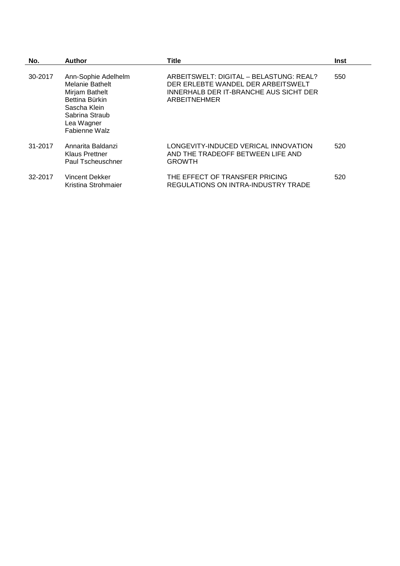| No.     | <b>Author</b>                                                                                                                                      | <b>Title</b>                                                                                                                            | Inst |
|---------|----------------------------------------------------------------------------------------------------------------------------------------------------|-----------------------------------------------------------------------------------------------------------------------------------------|------|
| 30-2017 | Ann-Sophie Adelhelm<br><b>Melanie Bathelt</b><br>Mirjam Bathelt<br>Bettina Bürkin<br>Sascha Klein<br>Sabrina Straub<br>Lea Wagner<br>Fabienne Walz | ARBEITSWELT: DIGITAL - BELASTUNG: REAL?<br>DER ERLEBTE WANDEL DER ARBEITSWELT<br>INNERHALB DER IT-BRANCHE AUS SICHT DER<br>ARBEITNEHMER | 550  |
| 31-2017 | Annarita Baldanzi<br><b>Klaus Prettner</b><br>Paul Tscheuschner                                                                                    | LONGEVITY-INDUCED VERICAL INNOVATION<br>AND THE TRADEOFF BETWEEN LIFE AND<br><b>GROWTH</b>                                              | 520  |
| 32-2017 | Vincent Dekker<br>Kristina Strohmaier                                                                                                              | THE EFFECT OF TRANSFER PRICING<br><b>REGULATIONS ON INTRA-INDUSTRY TRADE</b>                                                            | 520  |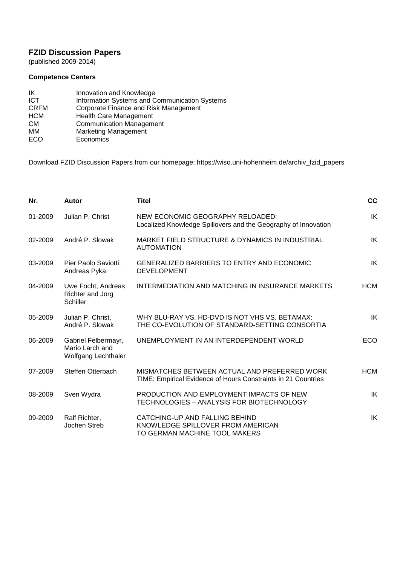#### **FZID Discussion Papers**

(published 2009-2014)

#### **Competence Centers**

| IK          | Innovation and Knowledge                      |
|-------------|-----------------------------------------------|
| <b>ICT</b>  | Information Systems and Communication Systems |
| <b>CRFM</b> | Corporate Finance and Risk Management         |
| <b>HCM</b>  | <b>Health Care Management</b>                 |
| <b>CM</b>   | <b>Communication Management</b>               |
| MМ          | <b>Marketing Management</b>                   |
| ECO         | Economics                                     |

Download FZID Discussion Papers from our homepage: https://wiso.uni-hohenheim.de/archiv\_fzid\_papers

| Nr.     | Autor                                                         | <b>Titel</b>                                                                                                  | cc         |
|---------|---------------------------------------------------------------|---------------------------------------------------------------------------------------------------------------|------------|
| 01-2009 | Julian P. Christ                                              | NEW ECONOMIC GEOGRAPHY RELOADED:<br>Localized Knowledge Spillovers and the Geography of Innovation            | IK         |
| 02-2009 | André P. Slowak                                               | MARKET FIELD STRUCTURE & DYNAMICS IN INDUSTRIAL<br><b>AUTOMATION</b>                                          | IK         |
| 03-2009 | Pier Paolo Saviotti,<br>Andreas Pyka                          | <b>GENERALIZED BARRIERS TO ENTRY AND ECONOMIC</b><br><b>DEVELOPMENT</b>                                       | IK         |
| 04-2009 | Uwe Focht, Andreas<br>Richter and Jörg<br>Schiller            | INTERMEDIATION AND MATCHING IN INSURANCE MARKETS                                                              | <b>HCM</b> |
| 05-2009 | Julian P. Christ,<br>André P. Slowak                          | WHY BLU-RAY VS. HD-DVD IS NOT VHS VS. BETAMAX:<br>THE CO-EVOLUTION OF STANDARD-SETTING CONSORTIA              | IK         |
| 06-2009 | Gabriel Felbermayr,<br>Mario Larch and<br>Wolfgang Lechthaler | UNEMPLOYMENT IN AN INTERDEPENDENT WORLD                                                                       | <b>ECO</b> |
| 07-2009 | Steffen Otterbach                                             | MISMATCHES BETWEEN ACTUAL AND PREFERRED WORK<br>TIME: Empirical Evidence of Hours Constraints in 21 Countries | <b>HCM</b> |
| 08-2009 | Sven Wydra                                                    | PRODUCTION AND EMPLOYMENT IMPACTS OF NEW<br>TECHNOLOGIES - ANALYSIS FOR BIOTECHNOLOGY                         | IK         |
| 09-2009 | Ralf Richter,<br>Jochen Streb                                 | CATCHING-UP AND FALLING BEHIND<br>KNOWLEDGE SPILLOVER FROM AMERICAN<br>TO GERMAN MACHINE TOOL MAKERS          | IK         |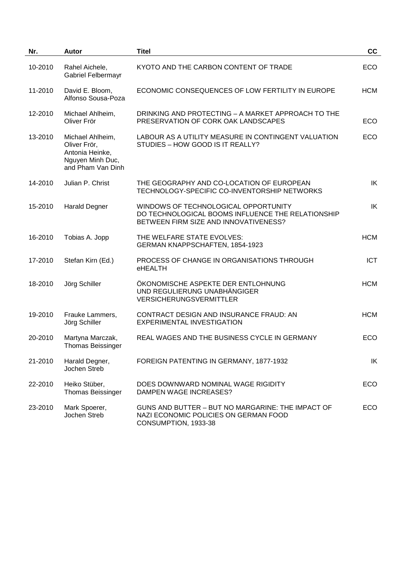| Nr.     | Autor                                                                                        | <b>Titel</b>                                                                                                                       | cc         |
|---------|----------------------------------------------------------------------------------------------|------------------------------------------------------------------------------------------------------------------------------------|------------|
| 10-2010 | Rahel Aichele,<br><b>Gabriel Felbermayr</b>                                                  | KYOTO AND THE CARBON CONTENT OF TRADE                                                                                              | ECO        |
| 11-2010 | David E. Bloom,<br>Alfonso Sousa-Poza                                                        | ECONOMIC CONSEQUENCES OF LOW FERTILITY IN EUROPE                                                                                   | <b>HCM</b> |
| 12-2010 | Michael Ahlheim,<br>Oliver Frör                                                              | DRINKING AND PROTECTING - A MARKET APPROACH TO THE<br>PRESERVATION OF CORK OAK LANDSCAPES                                          | ECO        |
| 13-2010 | Michael Ahlheim,<br>Oliver Frör,<br>Antonia Heinke,<br>Nguyen Minh Duc,<br>and Pham Van Dinh | LABOUR AS A UTILITY MEASURE IN CONTINGENT VALUATION<br>STUDIES - HOW GOOD IS IT REALLY?                                            | ECO        |
| 14-2010 | Julian P. Christ                                                                             | THE GEOGRAPHY AND CO-LOCATION OF EUROPEAN<br>TECHNOLOGY-SPECIFIC CO-INVENTORSHIP NETWORKS                                          | IK         |
| 15-2010 | <b>Harald Degner</b>                                                                         | WINDOWS OF TECHNOLOGICAL OPPORTUNITY<br>DO TECHNOLOGICAL BOOMS INFLUENCE THE RELATIONSHIP<br>BETWEEN FIRM SIZE AND INNOVATIVENESS? | IK         |
| 16-2010 | Tobias A. Jopp                                                                               | THE WELFARE STATE EVOLVES:<br>GERMAN KNAPPSCHAFTEN, 1854-1923                                                                      | <b>HCM</b> |
| 17-2010 | Stefan Kirn (Ed.)                                                                            | PROCESS OF CHANGE IN ORGANISATIONS THROUGH<br>eHEALTH                                                                              | <b>ICT</b> |
| 18-2010 | Jörg Schiller                                                                                | ÖKONOMISCHE ASPEKTE DER ENTLOHNUNG<br>UND REGULIERUNG UNABHÄNGIGER<br><b>VERSICHERUNGSVERMITTLER</b>                               | <b>HCM</b> |
| 19-2010 | Frauke Lammers,<br>Jörg Schiller                                                             | CONTRACT DESIGN AND INSURANCE FRAUD: AN<br><b>EXPERIMENTAL INVESTIGATION</b>                                                       | <b>HCM</b> |
| 20-2010 | Martyna Marczak,<br><b>Thomas Beissinger</b>                                                 | REAL WAGES AND THE BUSINESS CYCLE IN GERMANY                                                                                       | <b>ECO</b> |
| 21-2010 | Harald Degner,<br>Jochen Streb                                                               | FOREIGN PATENTING IN GERMANY, 1877-1932                                                                                            | IK         |
| 22-2010 | Heiko Stüber,<br><b>Thomas Beissinger</b>                                                    | DOES DOWNWARD NOMINAL WAGE RIGIDITY<br>DAMPEN WAGE INCREASES?                                                                      | ECO        |
| 23-2010 | Mark Spoerer,<br>Jochen Streb                                                                | GUNS AND BUTTER - BUT NO MARGARINE: THE IMPACT OF<br>NAZI ECONOMIC POLICIES ON GERMAN FOOD<br>CONSUMPTION, 1933-38                 | ECO        |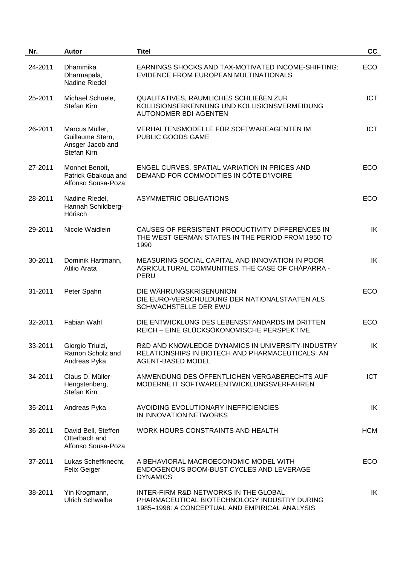| Nr.     | <b>Autor</b>                                                          | <b>Titel</b>                                                                                                                            | cc         |
|---------|-----------------------------------------------------------------------|-----------------------------------------------------------------------------------------------------------------------------------------|------------|
| 24-2011 | Dhammika<br>Dharmapala,<br><b>Nadine Riedel</b>                       | EARNINGS SHOCKS AND TAX-MOTIVATED INCOME-SHIFTING:<br>EVIDENCE FROM EUROPEAN MULTINATIONALS                                             | ECO        |
| 25-2011 | Michael Schuele,<br>Stefan Kirn                                       | QUALITATIVES, RÄUMLICHES SCHLIEßEN ZUR<br>KOLLISIONSERKENNUNG UND KOLLISIONSVERMEIDUNG<br><b>AUTONOMER BDI-AGENTEN</b>                  | <b>ICT</b> |
| 26-2011 | Marcus Müller,<br>Guillaume Stern,<br>Ansger Jacob and<br>Stefan Kirn | VERHALTENSMODELLE FÜR SOFTWAREAGENTEN IM<br>PUBLIC GOODS GAME                                                                           | <b>ICT</b> |
| 27-2011 | Monnet Benoit,<br>Patrick Gbakoua and<br>Alfonso Sousa-Poza           | ENGEL CURVES, SPATIAL VARIATION IN PRICES AND<br>DEMAND FOR COMMODITIES IN CÔTE D'IVOIRE                                                | <b>ECO</b> |
| 28-2011 | Nadine Riedel,<br>Hannah Schildberg-<br>Hörisch                       | <b>ASYMMETRIC OBLIGATIONS</b>                                                                                                           | <b>ECO</b> |
| 29-2011 | Nicole Waidlein                                                       | CAUSES OF PERSISTENT PRODUCTIVITY DIFFERENCES IN<br>THE WEST GERMAN STATES IN THE PERIOD FROM 1950 TO<br>1990                           | IK         |
| 30-2011 | Dominik Hartmann,<br>Atilio Arata                                     | MEASURING SOCIAL CAPITAL AND INNOVATION IN POOR<br>AGRICULTURAL COMMUNITIES. THE CASE OF CHÁPARRA -<br>PERU                             | IK         |
| 31-2011 | Peter Spahn                                                           | DIE WÄHRUNGSKRISENUNION<br>DIE EURO-VERSCHULDUNG DER NATIONALSTAATEN ALS<br>SCHWACHSTELLE DER EWU                                       | <b>ECO</b> |
| 32-2011 | Fabian Wahl                                                           | DIE ENTWICKLUNG DES LEBENSSTANDARDS IM DRITTEN<br>REICH - EINE GLÜCKSÖKONOMISCHE PERSPEKTIVE                                            | <b>ECO</b> |
| 33-2011 | Giorgio Triulzi,<br>Ramon Scholz and<br>Andreas Pyka                  | R&D AND KNOWLEDGE DYNAMICS IN UNIVERSITY-INDUSTRY<br>RELATIONSHIPS IN BIOTECH AND PHARMACEUTICALS: AN<br><b>AGENT-BASED MODEL</b>       | IK         |
| 34-2011 | Claus D. Müller-<br>Hengstenberg,<br>Stefan Kirn                      | ANWENDUNG DES ÖFFENTLICHEN VERGABERECHTS AUF<br>MODERNE IT SOFTWAREENTWICKLUNGSVERFAHREN                                                | <b>ICT</b> |
| 35-2011 | Andreas Pyka                                                          | AVOIDING EVOLUTIONARY INEFFICIENCIES<br>IN INNOVATION NETWORKS                                                                          | IK         |
| 36-2011 | David Bell, Steffen<br>Otterbach and<br>Alfonso Sousa-Poza            | WORK HOURS CONSTRAINTS AND HEALTH                                                                                                       | <b>HCM</b> |
| 37-2011 | Lukas Scheffknecht,<br>Felix Geiger                                   | A BEHAVIORAL MACROECONOMIC MODEL WITH<br>ENDOGENOUS BOOM-BUST CYCLES AND LEVERAGE<br><b>DYNAMICS</b>                                    | <b>ECO</b> |
| 38-2011 | Yin Krogmann,<br><b>Ulrich Schwalbe</b>                               | INTER-FIRM R&D NETWORKS IN THE GLOBAL<br>PHARMACEUTICAL BIOTECHNOLOGY INDUSTRY DURING<br>1985-1998: A CONCEPTUAL AND EMPIRICAL ANALYSIS | IK         |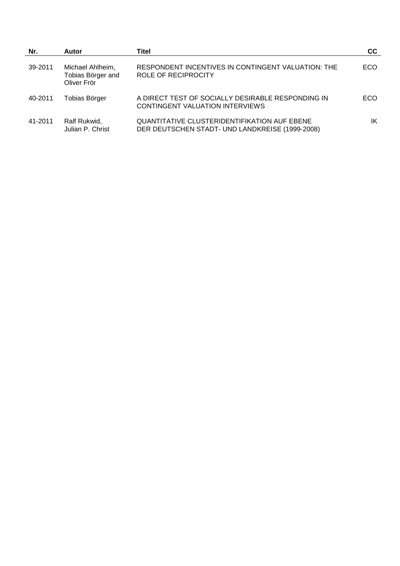| Nr.     | <b>Autor</b>                                         | Titel                                                                                                  | cc  |
|---------|------------------------------------------------------|--------------------------------------------------------------------------------------------------------|-----|
| 39-2011 | Michael Ahlheim,<br>Tobias Börger and<br>Oliver Frör | RESPONDENT INCENTIVES IN CONTINGENT VALUATION: THE<br>ROLE OF RECIPROCITY                              | ECO |
| 40-2011 | Tobias Börger                                        | A DIRECT TEST OF SOCIALLY DESIRABLE RESPONDING IN<br>CONTINGENT VALUATION INTERVIEWS                   | ECO |
| 41-2011 | Ralf Rukwid,<br>Julian P. Christ                     | <b>QUANTITATIVE CLUSTERIDENTIFIKATION AUF EBENE</b><br>DER DEUTSCHEN STADT- UND LANDKREISE (1999-2008) | ΙK  |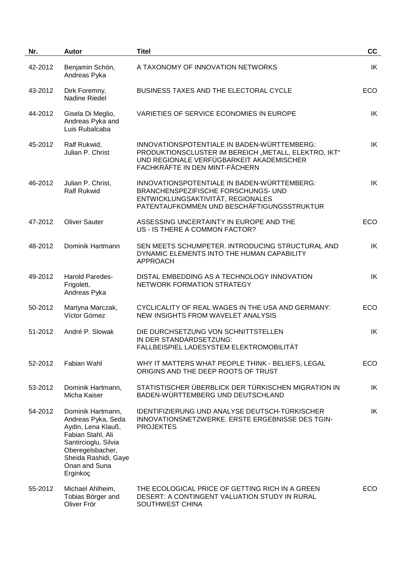| Nr.     | <b>Autor</b>                                                                                                                                                                        | <b>Titel</b>                                                                                                                                                                      | cc         |
|---------|-------------------------------------------------------------------------------------------------------------------------------------------------------------------------------------|-----------------------------------------------------------------------------------------------------------------------------------------------------------------------------------|------------|
| 42-2012 | Benjamin Schön,<br>Andreas Pyka                                                                                                                                                     | A TAXONOMY OF INNOVATION NETWORKS                                                                                                                                                 | IK         |
| 43-2012 | Dirk Foremny,<br>Nadine Riedel                                                                                                                                                      | <b>BUSINESS TAXES AND THE ELECTORAL CYCLE</b>                                                                                                                                     | ECO        |
| 44-2012 | Gisela Di Meglio,<br>Andreas Pyka and<br>Luis Rubalcaba                                                                                                                             | VARIETIES OF SERVICE ECONOMIES IN EUROPE                                                                                                                                          | IK         |
| 45-2012 | Ralf Rukwid,<br>Julian P. Christ                                                                                                                                                    | INNOVATIONSPOTENTIALE IN BADEN-WÜRTTEMBERG:<br>PRODUKTIONSCLUSTER IM BEREICH "METALL, ELEKTRO, IKT"<br>UND REGIONALE VERFÜGBARKEIT AKADEMISCHER<br>FACHKRÄFTE IN DEN MINT-FÄCHERN | IK         |
| 46-2012 | Julian P. Christ,<br><b>Ralf Rukwid</b>                                                                                                                                             | INNOVATIONSPOTENTIALE IN BADEN-WÜRTTEMBERG:<br>BRANCHENSPEZIFISCHE FORSCHUNGS- UND<br>ENTWICKLUNGSAKTIVITÄT, REGIONALES<br>PATENTAUFKOMMEN UND BESCHÄFTIGUNGSSTRUKTUR             | IK         |
| 47-2012 | <b>Oliver Sauter</b>                                                                                                                                                                | ASSESSING UNCERTAINTY IN EUROPE AND THE<br>US - IS THERE A COMMON FACTOR?                                                                                                         | ECO        |
| 48-2012 | Dominik Hartmann                                                                                                                                                                    | SEN MEETS SCHUMPETER. INTRODUCING STRUCTURAL AND<br>DYNAMIC ELEMENTS INTO THE HUMAN CAPABILITY<br><b>APPROACH</b>                                                                 | IK         |
| 49-2012 | Harold Paredes-<br>Frigolett,<br>Andreas Pyka                                                                                                                                       | DISTAL EMBEDDING AS A TECHNOLOGY INNOVATION<br>NETWORK FORMATION STRATEGY                                                                                                         | IK         |
| 50-2012 | Martyna Marczak,<br>Víctor Gómez                                                                                                                                                    | CYCLICALITY OF REAL WAGES IN THE USA AND GERMANY:<br>NEW INSIGHTS FROM WAVELET ANALYSIS                                                                                           | ECO        |
| 51-2012 | André P. Slowak                                                                                                                                                                     | DIE DURCHSETZUNG VON SCHNITTSTELLEN<br>IN DER STANDARDSETZUNG:<br>FALLBEISPIEL LADESYSTEM ELEKTROMOBILITÄT                                                                        | IK         |
| 52-2012 | Fabian Wahl                                                                                                                                                                         | WHY IT MATTERS WHAT PEOPLE THINK - BELIEFS, LEGAL<br>ORIGINS AND THE DEEP ROOTS OF TRUST                                                                                          | <b>ECO</b> |
| 53-2012 | Dominik Hartmann,<br>Micha Kaiser                                                                                                                                                   | STATISTISCHER ÜBERBLICK DER TÜRKISCHEN MIGRATION IN<br>BADEN-WÜRTTEMBERG UND DEUTSCHLAND                                                                                          | IK         |
| 54-2012 | Dominik Hartmann,<br>Andreas Pyka, Seda<br>Aydin, Lena Klauß,<br>Fabian Stahl, Ali<br>Santircioglu, Silvia<br>Oberegelsbacher,<br>Sheida Rashidi, Gaye<br>Onan and Suna<br>Erginkoç | IDENTIFIZIERUNG UND ANALYSE DEUTSCH-TÜRKISCHER<br>INNOVATIONSNETZWERKE. ERSTE ERGEBNISSE DES TGIN-<br><b>PROJEKTES</b>                                                            | IK         |
| 55-2012 | Michael Ahlheim,<br>Tobias Börger and<br>Oliver Frör                                                                                                                                | THE ECOLOGICAL PRICE OF GETTING RICH IN A GREEN<br>DESERT: A CONTINGENT VALUATION STUDY IN RURAL<br>SOUTHWEST CHINA                                                               | <b>ECO</b> |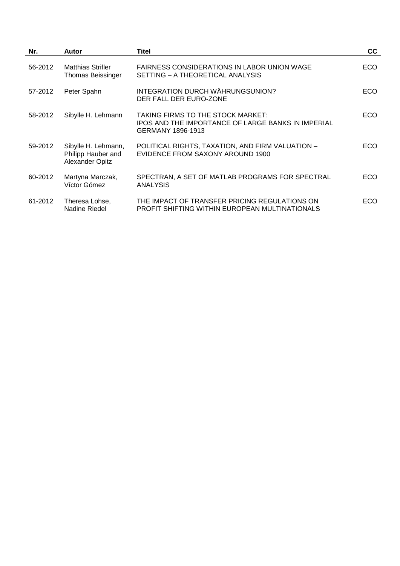| Nr.     | Autor                                                        | Titel                                                                                                               | cc         |
|---------|--------------------------------------------------------------|---------------------------------------------------------------------------------------------------------------------|------------|
| 56-2012 | <b>Matthias Strifler</b><br><b>Thomas Beissinger</b>         | <b>FAIRNESS CONSIDERATIONS IN LABOR UNION WAGE</b><br>SETTING - A THEORETICAL ANALYSIS                              | ECO.       |
| 57-2012 | Peter Spahn                                                  | INTEGRATION DURCH WÄHRUNGSUNION?<br>DER FALL DER EURO-ZONE                                                          | ECO.       |
| 58-2012 | Sibylle H. Lehmann                                           | TAKING FIRMS TO THE STOCK MARKET:<br><b>IPOS AND THE IMPORTANCE OF LARGE BANKS IN IMPERIAL</b><br>GERMANY 1896-1913 | ECO.       |
| 59-2012 | Sibylle H. Lehmann,<br>Philipp Hauber and<br>Alexander Opitz | POLITICAL RIGHTS, TAXATION, AND FIRM VALUATION -<br>EVIDENCE FROM SAXONY AROUND 1900                                | ECO.       |
| 60-2012 | Martyna Marczak,<br>Víctor Gómez                             | SPECTRAN, A SET OF MATLAB PROGRAMS FOR SPECTRAL<br><b>ANALYSIS</b>                                                  | ECO.       |
| 61-2012 | Theresa Lohse,<br>Nadine Riedel                              | THE IMPACT OF TRANSFER PRICING REGULATIONS ON<br><b>PROFIT SHIFTING WITHIN EUROPEAN MULTINATIONALS</b>              | <b>ECO</b> |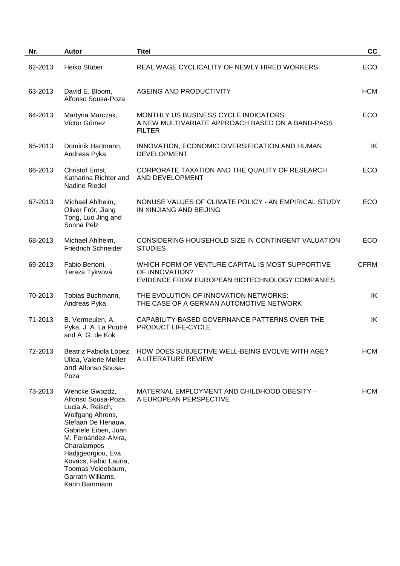| Nr.     | <b>Autor</b>                                                                                                                                                                                                                                                                 | <b>Titel</b>                                                                                                         | cc          |
|---------|------------------------------------------------------------------------------------------------------------------------------------------------------------------------------------------------------------------------------------------------------------------------------|----------------------------------------------------------------------------------------------------------------------|-------------|
| 62-2013 | Heiko Stüber                                                                                                                                                                                                                                                                 | REAL WAGE CYCLICALITY OF NEWLY HIRED WORKERS                                                                         | ECO         |
| 63-2013 | David E. Bloom,<br>Alfonso Sousa-Poza                                                                                                                                                                                                                                        | <b>AGEING AND PRODUCTIVITY</b>                                                                                       | <b>HCM</b>  |
| 64-2013 | Martyna Marczak,<br>Víctor Gómez                                                                                                                                                                                                                                             | MONTHLY US BUSINESS CYCLE INDICATORS:<br>A NEW MULTIVARIATE APPROACH BASED ON A BAND-PASS<br><b>FILTER</b>           | ECO         |
| 65-2013 | Dominik Hartmann,<br>Andreas Pyka                                                                                                                                                                                                                                            | INNOVATION, ECONOMIC DIVERSIFICATION AND HUMAN<br><b>DEVELOPMENT</b>                                                 | IK          |
| 66-2013 | Christof Ernst,<br>Katharina Richter and<br><b>Nadine Riedel</b>                                                                                                                                                                                                             | CORPORATE TAXATION AND THE QUALITY OF RESEARCH<br>AND DEVELOPMENT                                                    | ECO         |
| 67-2013 | Michael Ahlheim,<br>Oliver Frör, Jiang<br>Tong, Luo Jing and<br>Sonna Pelz                                                                                                                                                                                                   | NONUSE VALUES OF CLIMATE POLICY - AN EMPIRICAL STUDY<br>IN XINJIANG AND BEIJING                                      | ECO         |
| 68-2013 | Michael Ahlheim,<br><b>Friedrich Schneider</b>                                                                                                                                                                                                                               | CONSIDERING HOUSEHOLD SIZE IN CONTINGENT VALUATION<br><b>STUDIES</b>                                                 | ECO         |
| 69-2013 | Fabio Bertoni,<br>Tereza Tykvová                                                                                                                                                                                                                                             | WHICH FORM OF VENTURE CAPITAL IS MOST SUPPORTIVE<br>OF INNOVATION?<br>EVIDENCE FROM EUROPEAN BIOTECHNOLOGY COMPANIES | <b>CFRM</b> |
| 70-2013 | Tobias Buchmann,<br>Andreas Pyka                                                                                                                                                                                                                                             | THE EVOLUTION OF INNOVATION NETWORKS:<br>THE CASE OF A GERMAN AUTOMOTIVE NETWORK                                     | IK          |
| 71-2013 | B. Vermeulen, A.<br>Pyka, J. A. La Poutré<br>and A. G. de Kok                                                                                                                                                                                                                | CAPABILITY-BASED GOVERNANCE PATTERNS OVER THE<br>PRODUCT LIFE-CYCLE                                                  | IK          |
| 72-2013 | Beatriz Fabiola López<br>Ulloa, Valerie Møller<br>and Alfonso Sousa-<br>Poza                                                                                                                                                                                                 | HOW DOES SUBJECTIVE WELL-BEING EVOLVE WITH AGE?<br>A LITERATURE REVIEW                                               | <b>HCM</b>  |
| 73-2013 | Wencke Gwozdz,<br>Alfonso Sousa-Poza,<br>Lucia A. Reisch,<br>Wolfgang Ahrens,<br>Stefaan De Henauw,<br>Gabriele Eiben, Juan<br>M. Fernández-Alvira,<br>Charalampos<br>Hadjigeorgiou, Eva<br>Kovács, Fabio Lauria,<br>Toomas Veidebaum,<br>Garrath Williams,<br>Karin Bammann | MATERNAL EMPLOYMENT AND CHILDHOOD OBESITY -<br>A EUROPEAN PERSPECTIVE                                                | <b>HCM</b>  |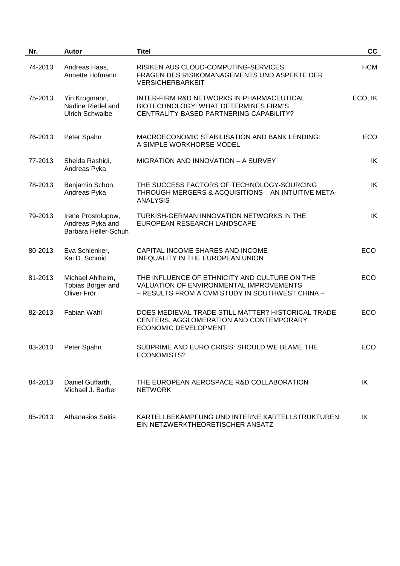| Nr.     | <b>Autor</b>                                                   | <b>Titel</b>                                                                                                                                | cc         |
|---------|----------------------------------------------------------------|---------------------------------------------------------------------------------------------------------------------------------------------|------------|
| 74-2013 | Andreas Haas,<br>Annette Hofmann                               | RISIKEN AUS CLOUD-COMPUTING-SERVICES:<br>FRAGEN DES RISIKOMANAGEMENTS UND ASPEKTE DER<br><b>VERSICHERBARKEIT</b>                            | <b>HCM</b> |
| 75-2013 | Yin Krogmann,<br>Nadine Riedel and<br><b>Ulrich Schwalbe</b>   | INTER-FIRM R&D NETWORKS IN PHARMACEUTICAL<br>BIOTECHNOLOGY: WHAT DETERMINES FIRM'S<br>CENTRALITY-BASED PARTNERING CAPABILITY?               | ECO, IK    |
| 76-2013 | Peter Spahn                                                    | MACROECONOMIC STABILISATION AND BANK LENDING:<br>A SIMPLE WORKHORSE MODEL                                                                   | ECO        |
| 77-2013 | Sheida Rashidi,<br>Andreas Pyka                                | MIGRATION AND INNOVATION - A SURVEY                                                                                                         | IK         |
| 78-2013 | Benjamin Schön,<br>Andreas Pyka                                | THE SUCCESS FACTORS OF TECHNOLOGY-SOURCING<br>THROUGH MERGERS & ACQUISITIONS - AN INTUITIVE META-<br><b>ANALYSIS</b>                        | IK         |
| 79-2013 | Irene Prostolupow,<br>Andreas Pyka and<br>Barbara Heller-Schuh | TURKISH-GERMAN INNOVATION NETWORKS IN THE<br>EUROPEAN RESEARCH LANDSCAPE                                                                    | IK         |
| 80-2013 | Eva Schlenker,<br>Kai D. Schmid                                | CAPITAL INCOME SHARES AND INCOME<br>INEQUALITY IN THE EUROPEAN UNION                                                                        | ECO        |
| 81-2013 | Michael Ahlheim,<br>Tobias Börger and<br>Oliver Frör           | THE INFLUENCE OF ETHNICITY AND CULTURE ON THE<br>VALUATION OF ENVIRONMENTAL IMPROVEMENTS<br>- RESULTS FROM A CVM STUDY IN SOUTHWEST CHINA - | <b>ECO</b> |
| 82-2013 | Fabian Wahl                                                    | DOES MEDIEVAL TRADE STILL MATTER? HISTORICAL TRADE<br>CENTERS, AGGLOMERATION AND CONTEMPORARY<br><b>ECONOMIC DEVELOPMENT</b>                | ECO        |
| 83-2013 | Peter Spahn                                                    | SUBPRIME AND EURO CRISIS: SHOULD WE BLAME THE<br>ECONOMISTS?                                                                                | ECO        |
| 84-2013 | Daniel Guffarth,<br>Michael J. Barber                          | THE EUROPEAN AEROSPACE R&D COLLABORATION<br><b>NETWORK</b>                                                                                  | IK         |
| 85-2013 | Athanasios Saitis                                              | KARTELLBEKÄMPFUNG UND INTERNE KARTELLSTRUKTUREN:<br>EIN NETZWERKTHEORETISCHER ANSATZ                                                        | IK         |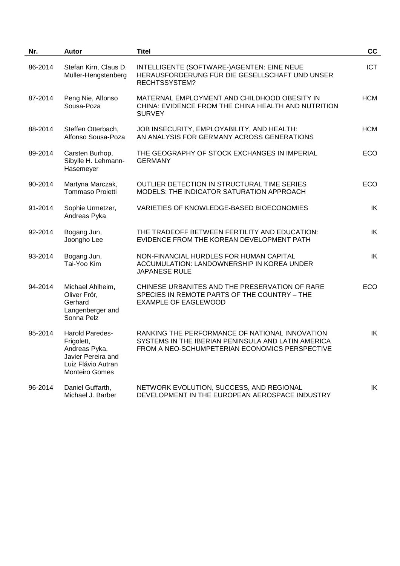| Nr.     | <b>Autor</b>                                                                                                        | <b>Titel</b>                                                                                                                                           | cc         |  |
|---------|---------------------------------------------------------------------------------------------------------------------|--------------------------------------------------------------------------------------------------------------------------------------------------------|------------|--|
| 86-2014 | Stefan Kirn, Claus D.<br>Müller-Hengstenberg                                                                        | INTELLIGENTE (SOFTWARE-)AGENTEN: EINE NEUE<br>HERAUSFORDERUNG FÜR DIE GESELLSCHAFT UND UNSER<br>RECHTSSYSTEM?                                          | <b>ICT</b> |  |
| 87-2014 | Peng Nie, Alfonso<br>Sousa-Poza                                                                                     | MATERNAL EMPLOYMENT AND CHILDHOOD OBESITY IN<br>CHINA: EVIDENCE FROM THE CHINA HEALTH AND NUTRITION<br><b>SURVEY</b>                                   | <b>HCM</b> |  |
| 88-2014 | Steffen Otterbach,<br>Alfonso Sousa-Poza                                                                            | JOB INSECURITY, EMPLOYABILITY, AND HEALTH:<br>AN ANALYSIS FOR GERMANY ACROSS GENERATIONS                                                               | <b>HCM</b> |  |
| 89-2014 | Carsten Burhop,<br>Sibylle H. Lehmann-<br>Hasemeyer                                                                 | THE GEOGRAPHY OF STOCK EXCHANGES IN IMPERIAL<br><b>GERMANY</b>                                                                                         | ECO        |  |
| 90-2014 | Martyna Marczak,<br><b>Tommaso Proietti</b>                                                                         | OUTLIER DETECTION IN STRUCTURAL TIME SERIES<br>MODELS: THE INDICATOR SATURATION APPROACH                                                               | ECO        |  |
| 91-2014 | Sophie Urmetzer,<br>Andreas Pyka                                                                                    | VARIETIES OF KNOWLEDGE-BASED BIOECONOMIES                                                                                                              | IK         |  |
| 92-2014 | Bogang Jun,<br>Joongho Lee                                                                                          | THE TRADEOFF BETWEEN FERTILITY AND EDUCATION:<br>EVIDENCE FROM THE KOREAN DEVELOPMENT PATH                                                             | IK         |  |
| 93-2014 | Bogang Jun,<br>Tai-Yoo Kim                                                                                          | NON-FINANCIAL HURDLES FOR HUMAN CAPITAL<br>ACCUMULATION: LANDOWNERSHIP IN KOREA UNDER<br>JAPANESE RULE                                                 | IK         |  |
| 94-2014 | Michael Ahlheim,<br>Oliver Frör,<br>Gerhard<br>Langenberger and<br>Sonna Pelz                                       | CHINESE URBANITES AND THE PRESERVATION OF RARE<br>SPECIES IN REMOTE PARTS OF THE COUNTRY - THE<br><b>EXAMPLE OF EAGLEWOOD</b>                          | ECO        |  |
| 95-2014 | Harold Paredes-<br>Frigolett,<br>Andreas Pyka,<br>Javier Pereira and<br>Luiz Flávio Autran<br><b>Monteiro Gomes</b> | RANKING THE PERFORMANCE OF NATIONAL INNOVATION<br>SYSTEMS IN THE IBERIAN PENINSULA AND LATIN AMERICA<br>FROM A NEO-SCHUMPETERIAN ECONOMICS PERSPECTIVE | IK         |  |
| 96-2014 | Daniel Guffarth,<br>Michael J. Barber                                                                               | NETWORK EVOLUTION, SUCCESS, AND REGIONAL<br>DEVELOPMENT IN THE EUROPEAN AEROSPACE INDUSTRY                                                             | IK         |  |